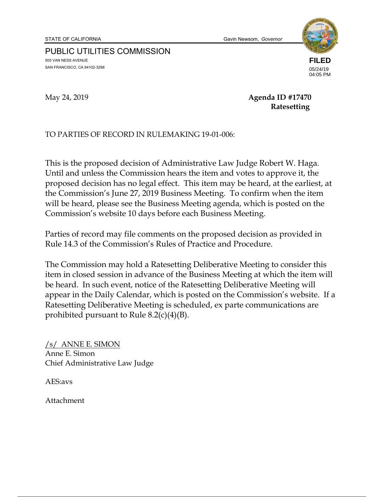STATE OF CALIFORNIA Gavin Newsom, *Governor*

PUBLIC UTILITIES COMMISSION 505 VAN NESS AVENUE SAN FRANCISCO, CA 94102-3298



04:05 PM

May 24, 2019 **Agenda ID #17470 Ratesetting** 

TO PARTIES OF RECORD IN RULEMAKING 19-01-006:

This is the proposed decision of Administrative Law Judge Robert W. Haga. Until and unless the Commission hears the item and votes to approve it, the proposed decision has no legal effect. This item may be heard, at the earliest, at the Commission's June 27, 2019 Business Meeting. To confirm when the item will be heard, please see the Business Meeting agenda, which is posted on the Commission's website 10 days before each Business Meeting.

Parties of record may file comments on the proposed decision as provided in Rule 14.3 of the Commission's Rules of Practice and Procedure.

The Commission may hold a Ratesetting Deliberative Meeting to consider this item in closed session in advance of the Business Meeting at which the item will be heard. In such event, notice of the Ratesetting Deliberative Meeting will appear in the Daily Calendar, which is posted on the Commission's website. If a Ratesetting Deliberative Meeting is scheduled, ex parte communications are prohibited pursuant to Rule 8.2(c)(4)(B).

/s/ ANNE E. SIMON Anne E. Simon Chief Administrative Law Judge

AES:avs

Attachment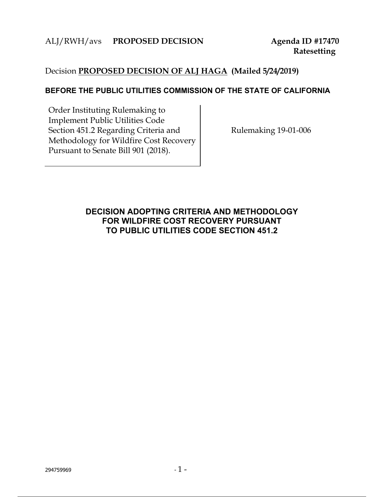## ALJ/RWH/avs **PROPOSED DECISION Agenda ID #17470**

## Decision **PROPOSED DECISION OF ALJ HAGA (Mailed 5/24/2019)**

#### **BEFORE THE PUBLIC UTILITIES COMMISSION OF THE STATE OF CALIFORNIA**

Order Instituting Rulemaking to Implement Public Utilities Code Section 451.2 Regarding Criteria and Methodology for Wildfire Cost Recovery Pursuant to Senate Bill 901 (2018).

Rulemaking 19-01-006

## **DECISION ADOPTING CRITERIA AND METHODOLOGY FOR WILDFIRE COST RECOVERY PURSUANT TO PUBLIC UTILITIES CODE SECTION 451.2**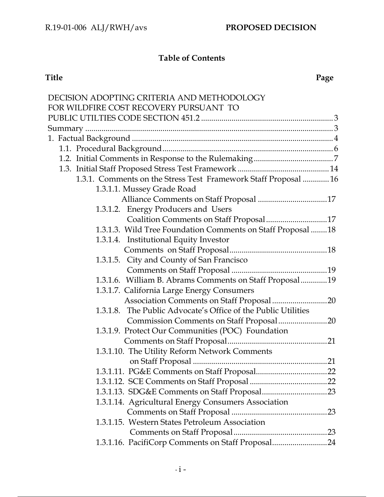# **Table of Contents**

#### **Title Page**

| DECISION ADOPTING CRITERIA AND METHODOLOGY                      |
|-----------------------------------------------------------------|
| FOR WILDFIRE COST RECOVERY PURSUANT TO                          |
|                                                                 |
|                                                                 |
|                                                                 |
|                                                                 |
|                                                                 |
|                                                                 |
| 1.3.1. Comments on the Stress Test Framework Staff Proposal  16 |
| 1.3.1.1. Mussey Grade Road                                      |
|                                                                 |
| 1.3.1.2. Energy Producers and Users                             |
| Coalition Comments on Staff Proposal17                          |
| 1.3.1.3. Wild Tree Foundation Comments on Staff Proposal 18     |
| 1.3.1.4. Institutional Equity Investor                          |
|                                                                 |
| 1.3.1.5. City and County of San Francisco                       |
|                                                                 |
| 1.3.1.6. William B. Abrams Comments on Staff Proposal19         |
| 1.3.1.7. California Large Energy Consumers                      |
| Association Comments on Staff Proposal 20                       |
| 1.3.1.8. The Public Advocate's Office of the Public Utilities   |
| Commission Comments on Staff Proposal20                         |
| 1.3.1.9. Protect Our Communities (POC) Foundation               |
|                                                                 |
| 1.3.1.10. The Utility Reform Network Comments                   |
|                                                                 |
|                                                                 |
|                                                                 |
|                                                                 |
| 1.3.1.14. Agricultural Energy Consumers Association             |
| .23                                                             |
| 1.3.1.15. Western States Petroleum Association                  |
|                                                                 |
| 1.3.1.16. PacifiCorp Comments on Staff Proposal24               |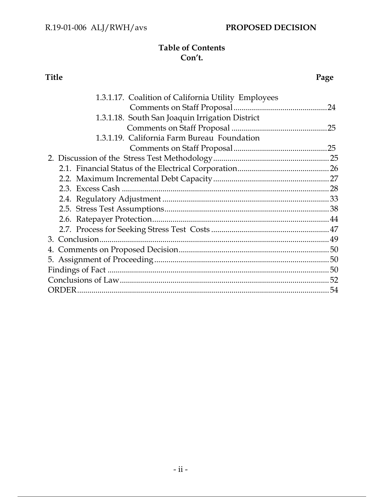## **Table of Contents Con't.**

#### **Title Page**

| 1.3.1.17. Coalition of California Utility Employees |    |
|-----------------------------------------------------|----|
|                                                     |    |
| 1.3.1.18. South San Joaquin Irrigation District     |    |
|                                                     | 25 |
| 1.3.1.19. California Farm Bureau Foundation         |    |
|                                                     |    |
|                                                     |    |
|                                                     |    |
|                                                     |    |
|                                                     |    |
|                                                     |    |
|                                                     |    |
|                                                     |    |
|                                                     |    |
| 3. Conclusion.                                      |    |
|                                                     |    |
|                                                     |    |
|                                                     |    |
|                                                     |    |
|                                                     |    |
|                                                     |    |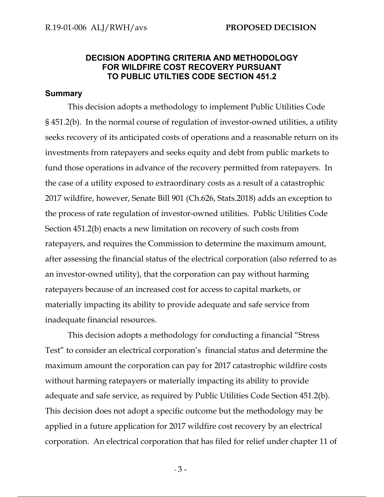### **DECISION ADOPTING CRITERIA AND METHODOLOGY FOR WILDFIRE COST RECOVERY PURSUANT TO PUBLIC UTILTIES CODE SECTION 451.2**

#### **Summary**

This decision adopts a methodology to implement Public Utilities Code § 451.2(b). In the normal course of regulation of investor-owned utilities, a utility seeks recovery of its anticipated costs of operations and a reasonable return on its investments from ratepayers and seeks equity and debt from public markets to fund those operations in advance of the recovery permitted from ratepayers. In the case of a utility exposed to extraordinary costs as a result of a catastrophic 2017 wildfire, however, Senate Bill 901 (Ch.626, Stats.2018) adds an exception to the process of rate regulation of investor-owned utilities. Public Utilities Code Section 451.2(b) enacts a new limitation on recovery of such costs from ratepayers, and requires the Commission to determine the maximum amount, after assessing the financial status of the electrical corporation (also referred to as an investor-owned utility), that the corporation can pay without harming ratepayers because of an increased cost for access to capital markets, or materially impacting its ability to provide adequate and safe service from inadequate financial resources.

This decision adopts a methodology for conducting a financial "Stress Test" to consider an electrical corporation's financial status and determine the maximum amount the corporation can pay for 2017 catastrophic wildfire costs without harming ratepayers or materially impacting its ability to provide adequate and safe service, as required by Public Utilities Code Section 451.2(b). This decision does not adopt a specific outcome but the methodology may be applied in a future application for 2017 wildfire cost recovery by an electrical corporation. An electrical corporation that has filed for relief under chapter 11 of

 $-3-$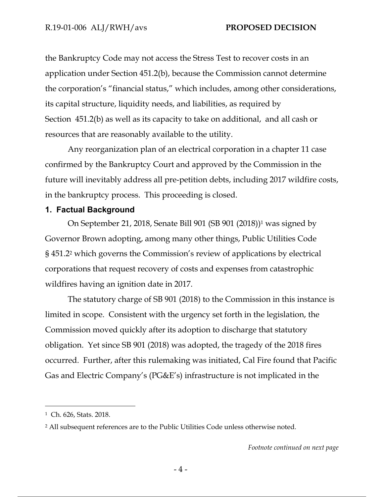the Bankruptcy Code may not access the Stress Test to recover costs in an application under Section 451.2(b), because the Commission cannot determine the corporation's "financial status," which includes, among other considerations, its capital structure, liquidity needs, and liabilities, as required by Section 451.2(b) as well as its capacity to take on additional, and all cash or resources that are reasonably available to the utility.

Any reorganization plan of an electrical corporation in a chapter 11 case confirmed by the Bankruptcy Court and approved by the Commission in the future will inevitably address all pre-petition debts, including 2017 wildfire costs, in the bankruptcy process. This proceeding is closed.

#### **1. Factual Background**

On September 21, 2018, Senate Bill 901 (SB 901 (2018))1 was signed by Governor Brown adopting, among many other things, Public Utilities Code § 451.22 which governs the Commission's review of applications by electrical corporations that request recovery of costs and expenses from catastrophic wildfires having an ignition date in 2017.

The statutory charge of SB 901 (2018) to the Commission in this instance is limited in scope. Consistent with the urgency set forth in the legislation, the Commission moved quickly after its adoption to discharge that statutory obligation. Yet since SB 901 (2018) was adopted, the tragedy of the 2018 fires occurred. Further, after this rulemaking was initiated, Cal Fire found that Pacific Gas and Electric Company's (PG&E's) infrastructure is not implicated in the

 $\overline{a}$ 

<sup>1</sup> Ch. 626, Stats. 2018.

<sup>2</sup> All subsequent references are to the Public Utilities Code unless otherwise noted.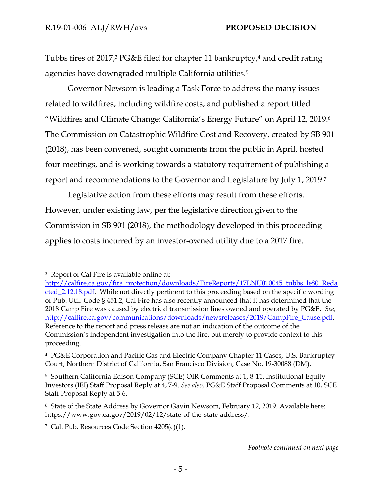Tubbs fires of 2017,3 PG&E filed for chapter 11 bankruptcy,4 and credit rating agencies have downgraded multiple California utilities.5

Governor Newsom is leading a Task Force to address the many issues related to wildfires, including wildfire costs, and published a report titled "Wildfires and Climate Change: California's Energy Future" on April 12, 2019.6 The Commission on Catastrophic Wildfire Cost and Recovery, created by SB 901 (2018), has been convened, sought comments from the public in April, hosted four meetings, and is working towards a statutory requirement of publishing a report and recommendations to the Governor and Legislature by July 1, 2019.7

Legislative action from these efforts may result from these efforts. However, under existing law, per the legislative direction given to the Commission in SB 901 (2018), the methodology developed in this proceeding applies to costs incurred by an investor-owned utility due to a 2017 fire.

-

7 Cal. Pub. Resources Code Section 4205(c)(1).

<sup>3</sup> Report of Cal Fire is available online at:

http://calfire.ca.gov/fire\_protection/downloads/FireReports/17LNU010045\_tubbs\_le80\_Reda cted\_2.12.18.pdf. While not directly pertinent to this proceeding based on the specific wording of Pub. Util. Code § 451.2, Cal Fire has also recently announced that it has determined that the 2018 Camp Fire was caused by electrical transmission lines owned and operated by PG&E. *See,* http://calfire.ca.gov/communications/downloads/newsreleases/2019/CampFire\_Cause.pdf. Reference to the report and press release are not an indication of the outcome of the Commission's independent investigation into the fire, but merely to provide context to this proceeding.

<sup>4</sup> PG&E Corporation and Pacific Gas and Electric Company Chapter 11 Cases, U.S. Bankruptcy Court, Northern District of California, San Francisco Division, Case No. 19-30088 (DM).

<sup>5</sup> Southern California Edison Company (SCE) OIR Comments at 1, 8-11, Institutional Equity Investors (IEI) Staff Proposal Reply at 4, 7-9. *See also,* PG&E Staff Proposal Comments at 10, SCE Staff Proposal Reply at 5-6.

<sup>6</sup> State of the State Address by Governor Gavin Newsom, February 12, 2019. Available here: https://www.gov.ca.gov/2019/02/12/state-of-the-state-address/.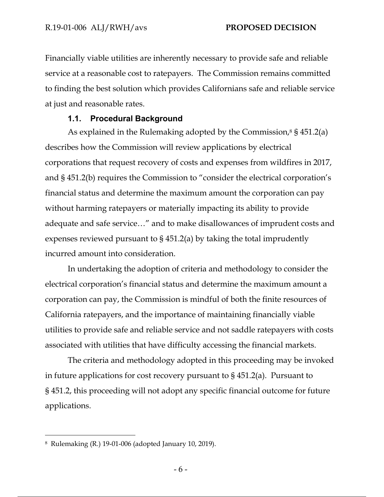Financially viable utilities are inherently necessary to provide safe and reliable service at a reasonable cost to ratepayers. The Commission remains committed to finding the best solution which provides Californians safe and reliable service at just and reasonable rates.

#### **1.1. Procedural Background**

As explained in the Rulemaking adopted by the Commission, $8 \frac{1}{5} \frac{451.2(a)}{20}$ describes how the Commission will review applications by electrical corporations that request recovery of costs and expenses from wildfires in 2017, and § 451.2(b) requires the Commission to "consider the electrical corporation's financial status and determine the maximum amount the corporation can pay without harming ratepayers or materially impacting its ability to provide adequate and safe service…" and to make disallowances of imprudent costs and expenses reviewed pursuant to § 451.2(a) by taking the total imprudently incurred amount into consideration.

In undertaking the adoption of criteria and methodology to consider the electrical corporation's financial status and determine the maximum amount a corporation can pay, the Commission is mindful of both the finite resources of California ratepayers, and the importance of maintaining financially viable utilities to provide safe and reliable service and not saddle ratepayers with costs associated with utilities that have difficulty accessing the financial markets.

The criteria and methodology adopted in this proceeding may be invoked in future applications for cost recovery pursuant to § 451.2(a). Pursuant to § 451.2, this proceeding will not adopt any specific financial outcome for future applications.

 $\overline{a}$ 

<sup>8</sup> Rulemaking (R.) 19-01-006 (adopted January 10, 2019).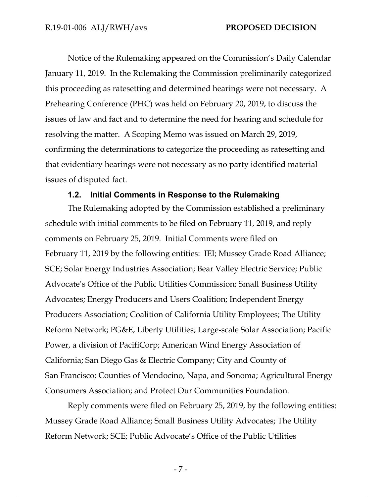Notice of the Rulemaking appeared on the Commission's Daily Calendar January 11, 2019. In the Rulemaking the Commission preliminarily categorized this proceeding as ratesetting and determined hearings were not necessary. A Prehearing Conference (PHC) was held on February 20, 2019, to discuss the issues of law and fact and to determine the need for hearing and schedule for resolving the matter. A Scoping Memo was issued on March 29, 2019, confirming the determinations to categorize the proceeding as ratesetting and that evidentiary hearings were not necessary as no party identified material issues of disputed fact.

#### **1.2. Initial Comments in Response to the Rulemaking**

The Rulemaking adopted by the Commission established a preliminary schedule with initial comments to be filed on February 11, 2019, and reply comments on February 25, 2019. Initial Comments were filed on February 11, 2019 by the following entities: IEI; Mussey Grade Road Alliance; SCE; Solar Energy Industries Association; Bear Valley Electric Service; Public Advocate's Office of the Public Utilities Commission; Small Business Utility Advocates; Energy Producers and Users Coalition; Independent Energy Producers Association; Coalition of California Utility Employees; The Utility Reform Network; PG&E, Liberty Utilities; Large-scale Solar Association; Pacific Power, a division of PacifiCorp; American Wind Energy Association of California; San Diego Gas & Electric Company; City and County of San Francisco; Counties of Mendocino, Napa, and Sonoma; Agricultural Energy Consumers Association; and Protect Our Communities Foundation.

Reply comments were filed on February 25, 2019, by the following entities: Mussey Grade Road Alliance; Small Business Utility Advocates; The Utility Reform Network; SCE; Public Advocate's Office of the Public Utilities

- 7 -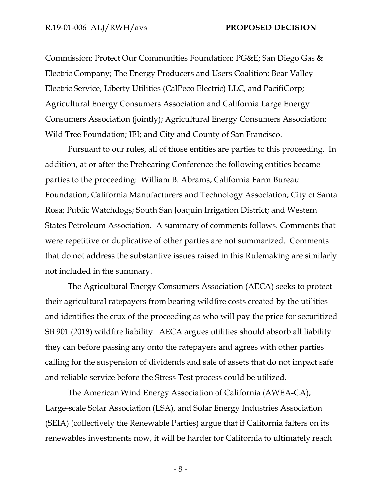Commission; Protect Our Communities Foundation; PG&E; San Diego Gas & Electric Company; The Energy Producers and Users Coalition; Bear Valley Electric Service, Liberty Utilities (CalPeco Electric) LLC, and PacifiCorp; Agricultural Energy Consumers Association and California Large Energy Consumers Association (jointly); Agricultural Energy Consumers Association; Wild Tree Foundation; IEI; and City and County of San Francisco.

Pursuant to our rules, all of those entities are parties to this proceeding. In addition, at or after the Prehearing Conference the following entities became parties to the proceeding: William B. Abrams; California Farm Bureau Foundation; California Manufacturers and Technology Association; City of Santa Rosa; Public Watchdogs; South San Joaquin Irrigation District; and Western States Petroleum Association. A summary of comments follows. Comments that were repetitive or duplicative of other parties are not summarized. Comments that do not address the substantive issues raised in this Rulemaking are similarly not included in the summary.

The Agricultural Energy Consumers Association (AECA) seeks to protect their agricultural ratepayers from bearing wildfire costs created by the utilities and identifies the crux of the proceeding as who will pay the price for securitized SB 901 (2018) wildfire liability. AECA argues utilities should absorb all liability they can before passing any onto the ratepayers and agrees with other parties calling for the suspension of dividends and sale of assets that do not impact safe and reliable service before the Stress Test process could be utilized.

The American Wind Energy Association of California (AWEA-CA), Large-scale Solar Association (LSA), and Solar Energy Industries Association (SEIA) (collectively the Renewable Parties) argue that if California falters on its renewables investments now, it will be harder for California to ultimately reach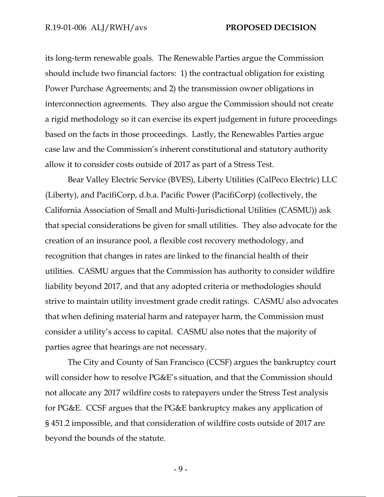its long-term renewable goals. The Renewable Parties argue the Commission should include two financial factors: 1) the contractual obligation for existing Power Purchase Agreements; and 2) the transmission owner obligations in interconnection agreements. They also argue the Commission should not create a rigid methodology so it can exercise its expert judgement in future proceedings based on the facts in those proceedings. Lastly, the Renewables Parties argue case law and the Commission's inherent constitutional and statutory authority allow it to consider costs outside of 2017 as part of a Stress Test.

Bear Valley Electric Service (BVES), Liberty Utilities (CalPeco Electric) LLC (Liberty), and PacifiCorp, d.b.a. Pacific Power (PacifiCorp) (collectively, the California Association of Small and Multi-Jurisdictional Utilities (CASMU)) ask that special considerations be given for small utilities. They also advocate for the creation of an insurance pool, a flexible cost recovery methodology, and recognition that changes in rates are linked to the financial health of their utilities. CASMU argues that the Commission has authority to consider wildfire liability beyond 2017, and that any adopted criteria or methodologies should strive to maintain utility investment grade credit ratings. CASMU also advocates that when defining material harm and ratepayer harm, the Commission must consider a utility's access to capital. CASMU also notes that the majority of parties agree that hearings are not necessary.

The City and County of San Francisco (CCSF) argues the bankruptcy court will consider how to resolve PG&E's situation, and that the Commission should not allocate any 2017 wildfire costs to ratepayers under the Stress Test analysis for PG&E. CCSF argues that the PG&E bankruptcy makes any application of § 451.2 impossible, and that consideration of wildfire costs outside of 2017 are beyond the bounds of the statute.

 $-9-$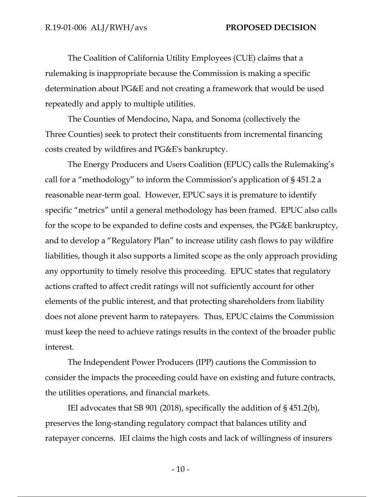The Coalition of California Utility Employees (CUE) claims that a rulemaking is inappropriate because the Commission is making a specific determination about PG&E and not creating a framework that would be used repeatedly and apply to multiple utilities.

The Counties of Mendocino, Napa, and Sonoma (collectively the Three Counties) seek to protect their constituents from incremental financing costs created by wildfires and PG&E's bankruptcy.

The Energy Producers and Users Coalition (EPUC) calls the Rulemaking's call for a "methodology" to inform the Commission's application of § 451.2 a reasonable near-term goal. However, EPUC says it is premature to identify specific "metrics" until a general methodology has been framed. EPUC also calls for the scope to be expanded to define costs and expenses, the PG&E bankruptcy, and to develop a "Regulatory Plan" to increase utility cash flows to pay wildfire liabilities, though it also supports a limited scope as the only approach providing any opportunity to timely resolve this proceeding. EPUC states that regulatory actions crafted to affect credit ratings will not sufficiently account for other elements of the public interest, and that protecting shareholders from liability does not alone prevent harm to ratepayers. Thus, EPUC claims the Commission must keep the need to achieve ratings results in the context of the broader public interest.

The Independent Power Producers (IPP) cautions the Commission to consider the impacts the proceeding could have on existing and future contracts, the utilities operations, and financial markets.

IEI advocates that SB 901 (2018), specifically the addition of § 451.2(b), preserves the long-standing regulatory compact that balances utility and ratepayer concerns. IEI claims the high costs and lack of willingness of insurers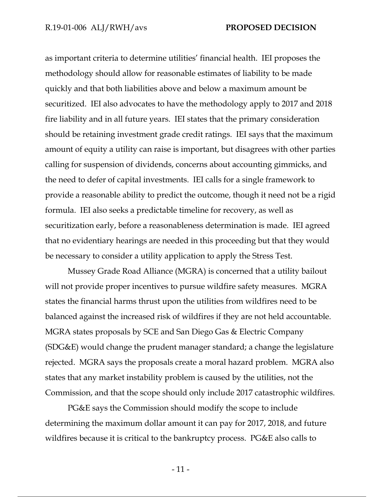as important criteria to determine utilities' financial health. IEI proposes the methodology should allow for reasonable estimates of liability to be made quickly and that both liabilities above and below a maximum amount be securitized. IEI also advocates to have the methodology apply to 2017 and 2018 fire liability and in all future years. IEI states that the primary consideration should be retaining investment grade credit ratings. IEI says that the maximum amount of equity a utility can raise is important, but disagrees with other parties calling for suspension of dividends, concerns about accounting gimmicks, and the need to defer of capital investments. IEI calls for a single framework to provide a reasonable ability to predict the outcome, though it need not be a rigid formula. IEI also seeks a predictable timeline for recovery, as well as securitization early, before a reasonableness determination is made. IEI agreed that no evidentiary hearings are needed in this proceeding but that they would be necessary to consider a utility application to apply the Stress Test.

Mussey Grade Road Alliance (MGRA) is concerned that a utility bailout will not provide proper incentives to pursue wildfire safety measures. MGRA states the financial harms thrust upon the utilities from wildfires need to be balanced against the increased risk of wildfires if they are not held accountable. MGRA states proposals by SCE and San Diego Gas & Electric Company (SDG&E) would change the prudent manager standard; a change the legislature rejected. MGRA says the proposals create a moral hazard problem. MGRA also states that any market instability problem is caused by the utilities, not the Commission, and that the scope should only include 2017 catastrophic wildfires.

PG&E says the Commission should modify the scope to include determining the maximum dollar amount it can pay for 2017, 2018, and future wildfires because it is critical to the bankruptcy process. PG&E also calls to

- 11 -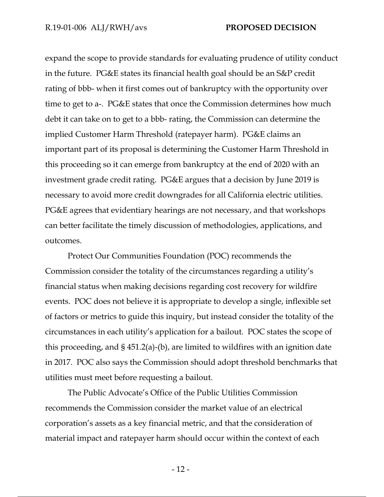expand the scope to provide standards for evaluating prudence of utility conduct in the future. PG&E states its financial health goal should be an S&P credit rating of bbb- when it first comes out of bankruptcy with the opportunity over time to get to a-. PG&E states that once the Commission determines how much debt it can take on to get to a bbb- rating, the Commission can determine the implied Customer Harm Threshold (ratepayer harm). PG&E claims an important part of its proposal is determining the Customer Harm Threshold in this proceeding so it can emerge from bankruptcy at the end of 2020 with an investment grade credit rating. PG&E argues that a decision by June 2019 is necessary to avoid more credit downgrades for all California electric utilities. PG&E agrees that evidentiary hearings are not necessary, and that workshops can better facilitate the timely discussion of methodologies, applications, and outcomes.

Protect Our Communities Foundation (POC) recommends the Commission consider the totality of the circumstances regarding a utility's financial status when making decisions regarding cost recovery for wildfire events. POC does not believe it is appropriate to develop a single, inflexible set of factors or metrics to guide this inquiry, but instead consider the totality of the circumstances in each utility's application for a bailout. POC states the scope of this proceeding, and § 451.2(a)-(b), are limited to wildfires with an ignition date in 2017. POC also says the Commission should adopt threshold benchmarks that utilities must meet before requesting a bailout.

The Public Advocate's Office of the Public Utilities Commission recommends the Commission consider the market value of an electrical corporation's assets as a key financial metric, and that the consideration of material impact and ratepayer harm should occur within the context of each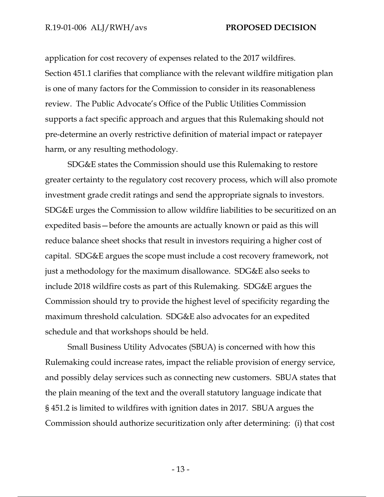application for cost recovery of expenses related to the 2017 wildfires. Section 451.1 clarifies that compliance with the relevant wildfire mitigation plan is one of many factors for the Commission to consider in its reasonableness review. The Public Advocate's Office of the Public Utilities Commission supports a fact specific approach and argues that this Rulemaking should not pre-determine an overly restrictive definition of material impact or ratepayer harm, or any resulting methodology.

SDG&E states the Commission should use this Rulemaking to restore greater certainty to the regulatory cost recovery process, which will also promote investment grade credit ratings and send the appropriate signals to investors. SDG&E urges the Commission to allow wildfire liabilities to be securitized on an expedited basis—before the amounts are actually known or paid as this will reduce balance sheet shocks that result in investors requiring a higher cost of capital. SDG&E argues the scope must include a cost recovery framework, not just a methodology for the maximum disallowance. SDG&E also seeks to include 2018 wildfire costs as part of this Rulemaking. SDG&E argues the Commission should try to provide the highest level of specificity regarding the maximum threshold calculation. SDG&E also advocates for an expedited schedule and that workshops should be held.

Small Business Utility Advocates (SBUA) is concerned with how this Rulemaking could increase rates, impact the reliable provision of energy service, and possibly delay services such as connecting new customers. SBUA states that the plain meaning of the text and the overall statutory language indicate that § 451.2 is limited to wildfires with ignition dates in 2017. SBUA argues the Commission should authorize securitization only after determining: (i) that cost

- 13 -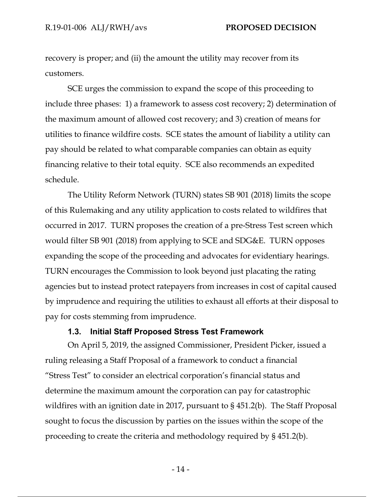recovery is proper; and (ii) the amount the utility may recover from its customers.

SCE urges the commission to expand the scope of this proceeding to include three phases: 1) a framework to assess cost recovery; 2) determination of the maximum amount of allowed cost recovery; and 3) creation of means for utilities to finance wildfire costs. SCE states the amount of liability a utility can pay should be related to what comparable companies can obtain as equity financing relative to their total equity. SCE also recommends an expedited schedule.

The Utility Reform Network (TURN) states SB 901 (2018) limits the scope of this Rulemaking and any utility application to costs related to wildfires that occurred in 2017. TURN proposes the creation of a pre-Stress Test screen which would filter SB 901 (2018) from applying to SCE and SDG&E. TURN opposes expanding the scope of the proceeding and advocates for evidentiary hearings. TURN encourages the Commission to look beyond just placating the rating agencies but to instead protect ratepayers from increases in cost of capital caused by imprudence and requiring the utilities to exhaust all efforts at their disposal to pay for costs stemming from imprudence.

#### **1.3. Initial Staff Proposed Stress Test Framework**

On April 5, 2019, the assigned Commissioner, President Picker, issued a ruling releasing a Staff Proposal of a framework to conduct a financial "Stress Test" to consider an electrical corporation's financial status and determine the maximum amount the corporation can pay for catastrophic wildfires with an ignition date in 2017, pursuant to § 451.2(b). The Staff Proposal sought to focus the discussion by parties on the issues within the scope of the proceeding to create the criteria and methodology required by § 451.2(b).

 $-14$  -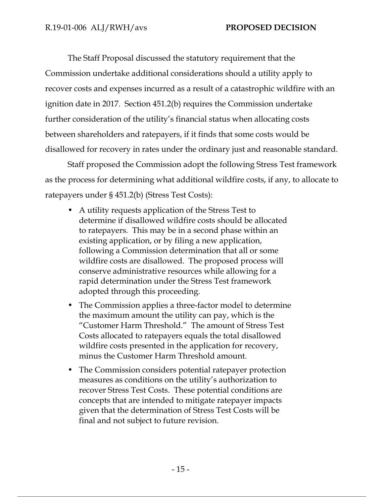The Staff Proposal discussed the statutory requirement that the Commission undertake additional considerations should a utility apply to recover costs and expenses incurred as a result of a catastrophic wildfire with an ignition date in 2017. Section 451.2(b) requires the Commission undertake further consideration of the utility's financial status when allocating costs between shareholders and ratepayers, if it finds that some costs would be disallowed for recovery in rates under the ordinary just and reasonable standard.

Staff proposed the Commission adopt the following Stress Test framework as the process for determining what additional wildfire costs, if any, to allocate to ratepayers under § 451.2(b) (Stress Test Costs):

- A utility requests application of the Stress Test to determine if disallowed wildfire costs should be allocated to ratepayers. This may be in a second phase within an existing application, or by filing a new application, following a Commission determination that all or some wildfire costs are disallowed. The proposed process will conserve administrative resources while allowing for a rapid determination under the Stress Test framework adopted through this proceeding.
- The Commission applies a three-factor model to determine the maximum amount the utility can pay, which is the "Customer Harm Threshold." The amount of Stress Test Costs allocated to ratepayers equals the total disallowed wildfire costs presented in the application for recovery, minus the Customer Harm Threshold amount.
- The Commission considers potential ratepayer protection measures as conditions on the utility's authorization to recover Stress Test Costs. These potential conditions are concepts that are intended to mitigate ratepayer impacts given that the determination of Stress Test Costs will be final and not subject to future revision.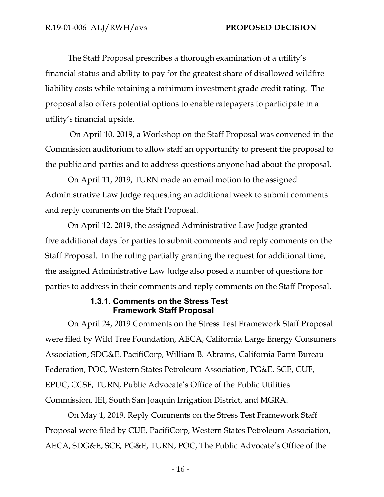The Staff Proposal prescribes a thorough examination of a utility's financial status and ability to pay for the greatest share of disallowed wildfire liability costs while retaining a minimum investment grade credit rating. The proposal also offers potential options to enable ratepayers to participate in a utility's financial upside.

 On April 10, 2019, a Workshop on the Staff Proposal was convened in the Commission auditorium to allow staff an opportunity to present the proposal to the public and parties and to address questions anyone had about the proposal.

On April 11, 2019, TURN made an email motion to the assigned Administrative Law Judge requesting an additional week to submit comments and reply comments on the Staff Proposal.

On April 12, 2019, the assigned Administrative Law Judge granted five additional days for parties to submit comments and reply comments on the Staff Proposal. In the ruling partially granting the request for additional time, the assigned Administrative Law Judge also posed a number of questions for parties to address in their comments and reply comments on the Staff Proposal.

#### **1.3.1. Comments on the Stress Test Framework Staff Proposal**

On April 24, 2019 Comments on the Stress Test Framework Staff Proposal were filed by Wild Tree Foundation, AECA, California Large Energy Consumers Association, SDG&E, PacifiCorp, William B. Abrams, California Farm Bureau Federation, POC, Western States Petroleum Association, PG&E, SCE, CUE, EPUC, CCSF, TURN, Public Advocate's Office of the Public Utilities Commission, IEI, South San Joaquin Irrigation District, and MGRA.

On May 1, 2019, Reply Comments on the Stress Test Framework Staff Proposal were filed by CUE, PacifiCorp, Western States Petroleum Association, AECA, SDG&E, SCE, PG&E, TURN, POC, The Public Advocate's Office of the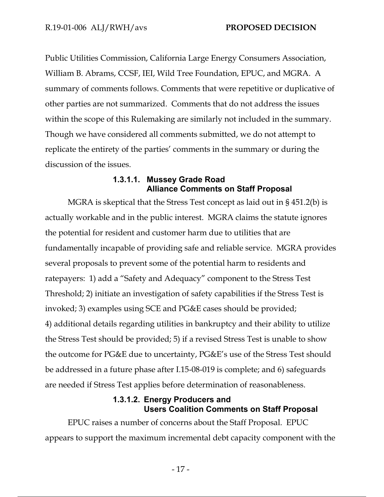Public Utilities Commission, California Large Energy Consumers Association, William B. Abrams, CCSF, IEI, Wild Tree Foundation, EPUC, and MGRA. A summary of comments follows. Comments that were repetitive or duplicative of other parties are not summarized. Comments that do not address the issues within the scope of this Rulemaking are similarly not included in the summary. Though we have considered all comments submitted, we do not attempt to replicate the entirety of the parties' comments in the summary or during the discussion of the issues.

#### **1.3.1.1. Mussey Grade Road Alliance Comments on Staff Proposal**

MGRA is skeptical that the Stress Test concept as laid out in § 451.2(b) is actually workable and in the public interest. MGRA claims the statute ignores the potential for resident and customer harm due to utilities that are fundamentally incapable of providing safe and reliable service. MGRA provides several proposals to prevent some of the potential harm to residents and ratepayers: 1) add a "Safety and Adequacy" component to the Stress Test Threshold; 2) initiate an investigation of safety capabilities if the Stress Test is invoked; 3) examples using SCE and PG&E cases should be provided; 4) additional details regarding utilities in bankruptcy and their ability to utilize the Stress Test should be provided; 5) if a revised Stress Test is unable to show the outcome for PG&E due to uncertainty, PG&E's use of the Stress Test should be addressed in a future phase after I.15-08-019 is complete; and 6) safeguards are needed if Stress Test applies before determination of reasonableness.

#### **1.3.1.2. Energy Producers and Users Coalition Comments on Staff Proposal**

EPUC raises a number of concerns about the Staff Proposal. EPUC appears to support the maximum incremental debt capacity component with the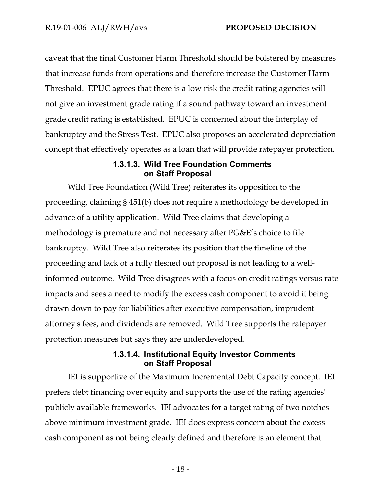caveat that the final Customer Harm Threshold should be bolstered by measures that increase funds from operations and therefore increase the Customer Harm Threshold. EPUC agrees that there is a low risk the credit rating agencies will not give an investment grade rating if a sound pathway toward an investment grade credit rating is established. EPUC is concerned about the interplay of bankruptcy and the Stress Test. EPUC also proposes an accelerated depreciation concept that effectively operates as a loan that will provide ratepayer protection.

#### **1.3.1.3. Wild Tree Foundation Comments on Staff Proposal**

Wild Tree Foundation (Wild Tree) reiterates its opposition to the proceeding, claiming § 451(b) does not require a methodology be developed in advance of a utility application. Wild Tree claims that developing a methodology is premature and not necessary after PG&E's choice to file bankruptcy. Wild Tree also reiterates its position that the timeline of the proceeding and lack of a fully fleshed out proposal is not leading to a wellinformed outcome. Wild Tree disagrees with a focus on credit ratings versus rate impacts and sees a need to modify the excess cash component to avoid it being drawn down to pay for liabilities after executive compensation, imprudent attorney's fees, and dividends are removed. Wild Tree supports the ratepayer protection measures but says they are underdeveloped.

#### **1.3.1.4. Institutional Equity Investor Comments on Staff Proposal**

IEI is supportive of the Maximum Incremental Debt Capacity concept. IEI prefers debt financing over equity and supports the use of the rating agencies' publicly available frameworks. IEI advocates for a target rating of two notches above minimum investment grade. IEI does express concern about the excess cash component as not being clearly defined and therefore is an element that

- 18 -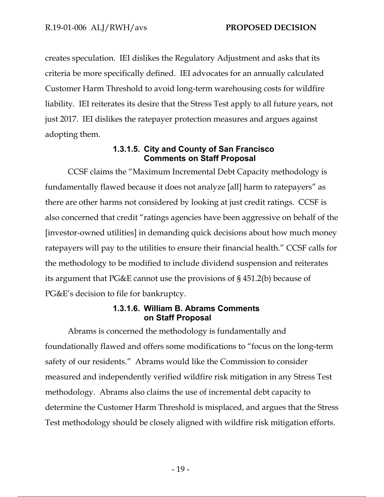creates speculation. IEI dislikes the Regulatory Adjustment and asks that its criteria be more specifically defined. IEI advocates for an annually calculated Customer Harm Threshold to avoid long-term warehousing costs for wildfire liability. IEI reiterates its desire that the Stress Test apply to all future years, not just 2017. IEI dislikes the ratepayer protection measures and argues against adopting them.

### **1.3.1.5. City and County of San Francisco Comments on Staff Proposal**

CCSF claims the "Maximum Incremental Debt Capacity methodology is fundamentally flawed because it does not analyze [all] harm to ratepayers" as there are other harms not considered by looking at just credit ratings. CCSF is also concerned that credit "ratings agencies have been aggressive on behalf of the [investor-owned utilities] in demanding quick decisions about how much money ratepayers will pay to the utilities to ensure their financial health." CCSF calls for the methodology to be modified to include dividend suspension and reiterates its argument that PG&E cannot use the provisions of § 451.2(b) because of PG&E's decision to file for bankruptcy.

#### **1.3.1.6. William B. Abrams Comments on Staff Proposal**

Abrams is concerned the methodology is fundamentally and foundationally flawed and offers some modifications to "focus on the long-term safety of our residents." Abrams would like the Commission to consider measured and independently verified wildfire risk mitigation in any Stress Test methodology. Abrams also claims the use of incremental debt capacity to determine the Customer Harm Threshold is misplaced, and argues that the Stress Test methodology should be closely aligned with wildfire risk mitigation efforts.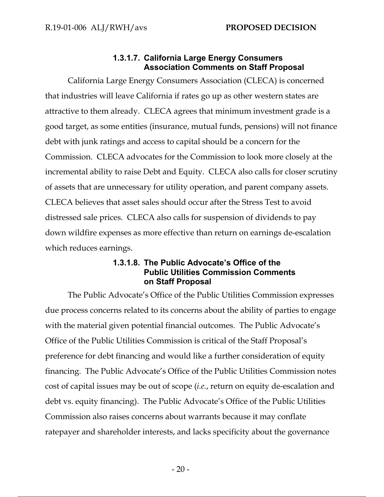### **1.3.1.7. California Large Energy Consumers Association Comments on Staff Proposal**

California Large Energy Consumers Association (CLECA) is concerned that industries will leave California if rates go up as other western states are attractive to them already. CLECA agrees that minimum investment grade is a good target, as some entities (insurance, mutual funds, pensions) will not finance debt with junk ratings and access to capital should be a concern for the Commission. CLECA advocates for the Commission to look more closely at the incremental ability to raise Debt and Equity. CLECA also calls for closer scrutiny of assets that are unnecessary for utility operation, and parent company assets. CLECA believes that asset sales should occur after the Stress Test to avoid distressed sale prices. CLECA also calls for suspension of dividends to pay down wildfire expenses as more effective than return on earnings de-escalation which reduces earnings.

### **1.3.1.8. The Public Advocate's Office of the Public Utilities Commission Comments on Staff Proposal**

The Public Advocate's Office of the Public Utilities Commission expresses due process concerns related to its concerns about the ability of parties to engage with the material given potential financial outcomes. The Public Advocate's Office of the Public Utilities Commission is critical of the Staff Proposal's preference for debt financing and would like a further consideration of equity financing. The Public Advocate's Office of the Public Utilities Commission notes cost of capital issues may be out of scope (*i.e.*, return on equity de-escalation and debt vs. equity financing). The Public Advocate's Office of the Public Utilities Commission also raises concerns about warrants because it may conflate ratepayer and shareholder interests, and lacks specificity about the governance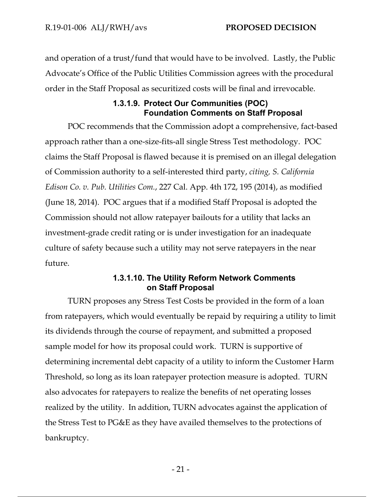and operation of a trust/fund that would have to be involved. Lastly, the Public Advocate's Office of the Public Utilities Commission agrees with the procedural order in the Staff Proposal as securitized costs will be final and irrevocable.

## **1.3.1.9. Protect Our Communities (POC) Foundation Comments on Staff Proposal**

POC recommends that the Commission adopt a comprehensive, fact-based approach rather than a one-size-fits-all single Stress Test methodology. POC claims the Staff Proposal is flawed because it is premised on an illegal delegation of Commission authority to a self-interested third party, *citing, S. California Edison Co. v. Pub. Utilities Com.*, 227 Cal. App. 4th 172, 195 (2014), as modified (June 18, 2014). POC argues that if a modified Staff Proposal is adopted the Commission should not allow ratepayer bailouts for a utility that lacks an investment-grade credit rating or is under investigation for an inadequate culture of safety because such a utility may not serve ratepayers in the near future.

### **1.3.1.10. The Utility Reform Network Comments on Staff Proposal**

TURN proposes any Stress Test Costs be provided in the form of a loan from ratepayers, which would eventually be repaid by requiring a utility to limit its dividends through the course of repayment, and submitted a proposed sample model for how its proposal could work. TURN is supportive of determining incremental debt capacity of a utility to inform the Customer Harm Threshold, so long as its loan ratepayer protection measure is adopted. TURN also advocates for ratepayers to realize the benefits of net operating losses realized by the utility. In addition, TURN advocates against the application of the Stress Test to PG&E as they have availed themselves to the protections of bankruptcy.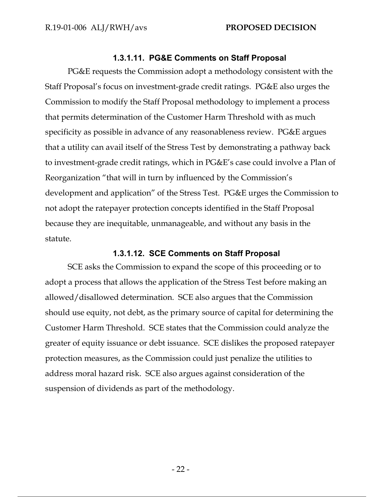#### **1.3.1.11. PG&E Comments on Staff Proposal**

PG&E requests the Commission adopt a methodology consistent with the Staff Proposal's focus on investment-grade credit ratings. PG&E also urges the Commission to modify the Staff Proposal methodology to implement a process that permits determination of the Customer Harm Threshold with as much specificity as possible in advance of any reasonableness review. PG&E argues that a utility can avail itself of the Stress Test by demonstrating a pathway back to investment-grade credit ratings, which in PG&E's case could involve a Plan of Reorganization "that will in turn by influenced by the Commission's development and application" of the Stress Test. PG&E urges the Commission to not adopt the ratepayer protection concepts identified in the Staff Proposal because they are inequitable, unmanageable, and without any basis in the statute.

#### **1.3.1.12. SCE Comments on Staff Proposal**

SCE asks the Commission to expand the scope of this proceeding or to adopt a process that allows the application of the Stress Test before making an allowed/disallowed determination. SCE also argues that the Commission should use equity, not debt, as the primary source of capital for determining the Customer Harm Threshold. SCE states that the Commission could analyze the greater of equity issuance or debt issuance. SCE dislikes the proposed ratepayer protection measures, as the Commission could just penalize the utilities to address moral hazard risk. SCE also argues against consideration of the suspension of dividends as part of the methodology.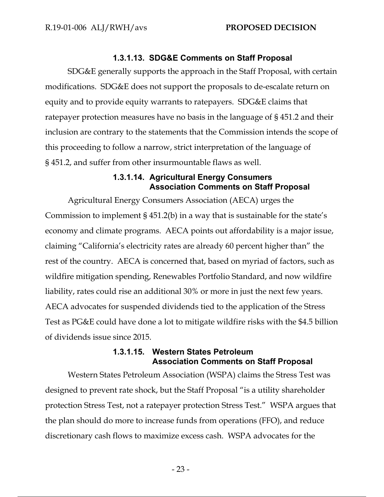#### **1.3.1.13. SDG&E Comments on Staff Proposal**

SDG&E generally supports the approach in the Staff Proposal, with certain modifications. SDG&E does not support the proposals to de-escalate return on equity and to provide equity warrants to ratepayers. SDG&E claims that ratepayer protection measures have no basis in the language of § 451.2 and their inclusion are contrary to the statements that the Commission intends the scope of this proceeding to follow a narrow, strict interpretation of the language of § 451.2, and suffer from other insurmountable flaws as well.

#### **1.3.1.14. Agricultural Energy Consumers Association Comments on Staff Proposal**

Agricultural Energy Consumers Association (AECA) urges the Commission to implement § 451.2(b) in a way that is sustainable for the state's economy and climate programs. AECA points out affordability is a major issue, claiming "California's electricity rates are already 60 percent higher than" the rest of the country. AECA is concerned that, based on myriad of factors, such as wildfire mitigation spending, Renewables Portfolio Standard, and now wildfire liability, rates could rise an additional 30% or more in just the next few years. AECA advocates for suspended dividends tied to the application of the Stress Test as PG&E could have done a lot to mitigate wildfire risks with the \$4.5 billion of dividends issue since 2015.

#### **1.3.1.15. Western States Petroleum Association Comments on Staff Proposal**

Western States Petroleum Association (WSPA) claims the Stress Test was designed to prevent rate shock, but the Staff Proposal "is a utility shareholder protection Stress Test, not a ratepayer protection Stress Test." WSPA argues that the plan should do more to increase funds from operations (FFO), and reduce discretionary cash flows to maximize excess cash. WSPA advocates for the

- 23 -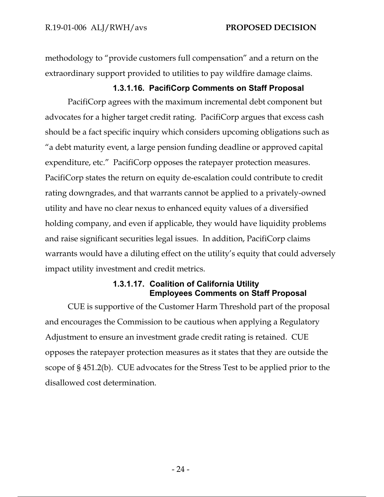methodology to "provide customers full compensation" and a return on the extraordinary support provided to utilities to pay wildfire damage claims.

**1.3.1.16. PacifiCorp Comments on Staff Proposal** 

PacifiCorp agrees with the maximum incremental debt component but advocates for a higher target credit rating. PacifiCorp argues that excess cash should be a fact specific inquiry which considers upcoming obligations such as "a debt maturity event, a large pension funding deadline or approved capital expenditure, etc." PacifiCorp opposes the ratepayer protection measures. PacifiCorp states the return on equity de-escalation could contribute to credit rating downgrades, and that warrants cannot be applied to a privately-owned utility and have no clear nexus to enhanced equity values of a diversified holding company, and even if applicable, they would have liquidity problems and raise significant securities legal issues. In addition, PacifiCorp claims warrants would have a diluting effect on the utility's equity that could adversely impact utility investment and credit metrics.

## **1.3.1.17. Coalition of California Utility Employees Comments on Staff Proposal**

CUE is supportive of the Customer Harm Threshold part of the proposal and encourages the Commission to be cautious when applying a Regulatory Adjustment to ensure an investment grade credit rating is retained. CUE opposes the ratepayer protection measures as it states that they are outside the scope of § 451.2(b). CUE advocates for the Stress Test to be applied prior to the disallowed cost determination.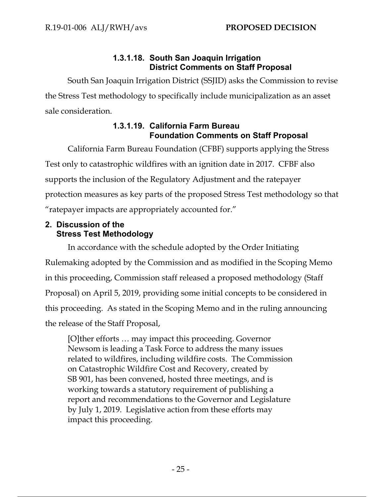## **1.3.1.18. South San Joaquin Irrigation District Comments on Staff Proposal**

South San Joaquin Irrigation District (SSJID) asks the Commission to revise the Stress Test methodology to specifically include municipalization as an asset sale consideration.

## **1.3.1.19. California Farm Bureau Foundation Comments on Staff Proposal**

California Farm Bureau Foundation (CFBF) supports applying the Stress Test only to catastrophic wildfires with an ignition date in 2017. CFBF also supports the inclusion of the Regulatory Adjustment and the ratepayer protection measures as key parts of the proposed Stress Test methodology so that "ratepayer impacts are appropriately accounted for."

## **2. Discussion of the Stress Test Methodology**

In accordance with the schedule adopted by the Order Initiating Rulemaking adopted by the Commission and as modified in the Scoping Memo in this proceeding, Commission staff released a proposed methodology (Staff Proposal) on April 5, 2019, providing some initial concepts to be considered in this proceeding. As stated in the Scoping Memo and in the ruling announcing the release of the Staff Proposal,

[O]ther efforts … may impact this proceeding. Governor Newsom is leading a Task Force to address the many issues related to wildfires, including wildfire costs. The Commission on Catastrophic Wildfire Cost and Recovery, created by SB 901, has been convened, hosted three meetings, and is working towards a statutory requirement of publishing a report and recommendations to the Governor and Legislature by July 1, 2019. Legislative action from these efforts may impact this proceeding.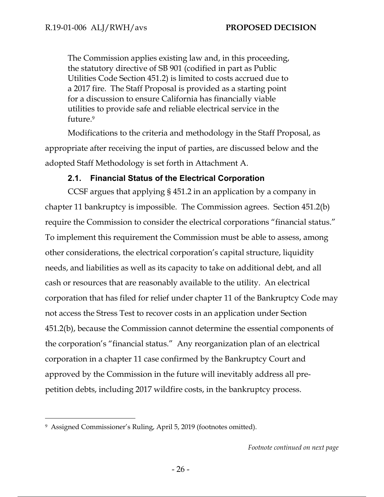The Commission applies existing law and, in this proceeding, the statutory directive of SB 901 (codified in part as Public Utilities Code Section 451.2) is limited to costs accrued due to a 2017 fire. The Staff Proposal is provided as a starting point for a discussion to ensure California has financially viable utilities to provide safe and reliable electrical service in the future.9

Modifications to the criteria and methodology in the Staff Proposal, as appropriate after receiving the input of parties, are discussed below and the adopted Staff Methodology is set forth in Attachment A.

## **2.1. Financial Status of the Electrical Corporation**

CCSF argues that applying § 451.2 in an application by a company in chapter 11 bankruptcy is impossible. The Commission agrees. Section 451.2(b) require the Commission to consider the electrical corporations "financial status." To implement this requirement the Commission must be able to assess, among other considerations, the electrical corporation's capital structure, liquidity needs, and liabilities as well as its capacity to take on additional debt, and all cash or resources that are reasonably available to the utility. An electrical corporation that has filed for relief under chapter 11 of the Bankruptcy Code may not access the Stress Test to recover costs in an application under Section 451.2(b), because the Commission cannot determine the essential components of the corporation's "financial status." Any reorganization plan of an electrical corporation in a chapter 11 case confirmed by the Bankruptcy Court and approved by the Commission in the future will inevitably address all prepetition debts, including 2017 wildfire costs, in the bankruptcy process.

 $\overline{a}$ 

<sup>9</sup> Assigned Commissioner's Ruling, April 5, 2019 (footnotes omitted).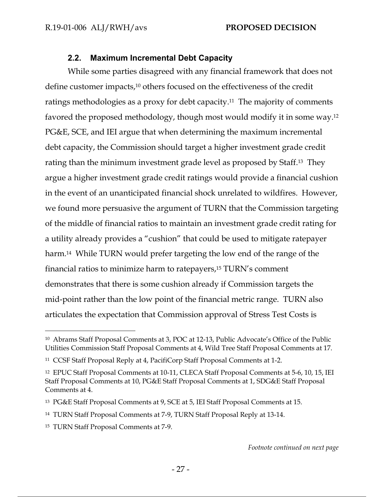## **2.2. Maximum Incremental Debt Capacity**

While some parties disagreed with any financial framework that does not define customer impacts,10 others focused on the effectiveness of the credit ratings methodologies as a proxy for debt capacity.11 The majority of comments favored the proposed methodology, though most would modify it in some way.12 PG&E, SCE, and IEI argue that when determining the maximum incremental debt capacity, the Commission should target a higher investment grade credit rating than the minimum investment grade level as proposed by Staff.13 They argue a higher investment grade credit ratings would provide a financial cushion in the event of an unanticipated financial shock unrelated to wildfires. However, we found more persuasive the argument of TURN that the Commission targeting of the middle of financial ratios to maintain an investment grade credit rating for a utility already provides a "cushion" that could be used to mitigate ratepayer harm.<sup>14</sup> While TURN would prefer targeting the low end of the range of the financial ratios to minimize harm to ratepayers,15 TURN's comment demonstrates that there is some cushion already if Commission targets the mid-point rather than the low point of the financial metric range. TURN also articulates the expectation that Commission approval of Stress Test Costs is

-

<sup>10</sup> Abrams Staff Proposal Comments at 3, POC at 12-13, Public Advocate's Office of the Public Utilities Commission Staff Proposal Comments at 4, Wild Tree Staff Proposal Comments at 17.

<sup>11</sup> CCSF Staff Proposal Reply at 4, PacifiCorp Staff Proposal Comments at 1-2.

<sup>12</sup> EPUC Staff Proposal Comments at 10-11, CLECA Staff Proposal Comments at 5-6, 10, 15, IEI Staff Proposal Comments at 10, PG&E Staff Proposal Comments at 1, SDG&E Staff Proposal Comments at 4.

<sup>13</sup> PG&E Staff Proposal Comments at 9, SCE at 5, IEI Staff Proposal Comments at 15.

<sup>14</sup> TURN Staff Proposal Comments at 7-9, TURN Staff Proposal Reply at 13-14.

<sup>15</sup> TURN Staff Proposal Comments at 7-9.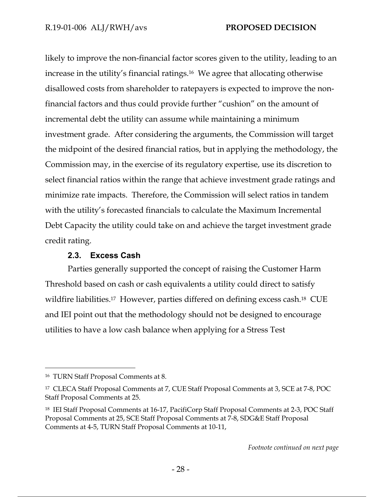likely to improve the non-financial factor scores given to the utility, leading to an increase in the utility's financial ratings.16 We agree that allocating otherwise disallowed costs from shareholder to ratepayers is expected to improve the nonfinancial factors and thus could provide further "cushion" on the amount of incremental debt the utility can assume while maintaining a minimum investment grade. After considering the arguments, the Commission will target the midpoint of the desired financial ratios, but in applying the methodology, the Commission may, in the exercise of its regulatory expertise, use its discretion to select financial ratios within the range that achieve investment grade ratings and minimize rate impacts. Therefore, the Commission will select ratios in tandem with the utility's forecasted financials to calculate the Maximum Incremental Debt Capacity the utility could take on and achieve the target investment grade credit rating.

## **2.3. Excess Cash**

Parties generally supported the concept of raising the Customer Harm Threshold based on cash or cash equivalents a utility could direct to satisfy wildfire liabilities.<sup>17</sup> However, parties differed on defining excess cash.<sup>18</sup> CUE and IEI point out that the methodology should not be designed to encourage utilities to have a low cash balance when applying for a Stress Test

-

<sup>16</sup> TURN Staff Proposal Comments at 8.

<sup>17</sup> CLECA Staff Proposal Comments at 7, CUE Staff Proposal Comments at 3, SCE at 7-8, POC Staff Proposal Comments at 25.

<sup>&</sup>lt;sup>18</sup> IEI Staff Proposal Comments at 16-17, PacifiCorp Staff Proposal Comments at 2-3, POC Staff Proposal Comments at 25, SCE Staff Proposal Comments at 7-8, SDG&E Staff Proposal Comments at 4-5, TURN Staff Proposal Comments at 10-11,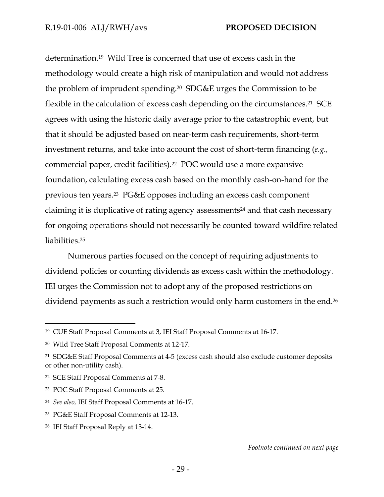determination.19 Wild Tree is concerned that use of excess cash in the methodology would create a high risk of manipulation and would not address the problem of imprudent spending.20 SDG&E urges the Commission to be flexible in the calculation of excess cash depending on the circumstances.<sup>21</sup> SCE agrees with using the historic daily average prior to the catastrophic event, but that it should be adjusted based on near-term cash requirements, short-term investment returns, and take into account the cost of short-term financing (*e.g.,* commercial paper, credit facilities).22 POC would use a more expansive foundation, calculating excess cash based on the monthly cash-on-hand for the previous ten years.23 PG&E opposes including an excess cash component claiming it is duplicative of rating agency assessments24 and that cash necessary for ongoing operations should not necessarily be counted toward wildfire related liabilities.25

Numerous parties focused on the concept of requiring adjustments to dividend policies or counting dividends as excess cash within the methodology. IEI urges the Commission not to adopt any of the proposed restrictions on dividend payments as such a restriction would only harm customers in the end.26

 $\overline{a}$ 

<sup>19</sup> CUE Staff Proposal Comments at 3, IEI Staff Proposal Comments at 16-17.

<sup>20</sup> Wild Tree Staff Proposal Comments at 12-17.

<sup>21</sup> SDG&E Staff Proposal Comments at 4-5 (excess cash should also exclude customer deposits or other non-utility cash).

<sup>22</sup> SCE Staff Proposal Comments at 7-8.

<sup>23</sup> POC Staff Proposal Comments at 25.

<sup>24</sup> *See also,* IEI Staff Proposal Comments at 16-17.

<sup>25</sup> PG&E Staff Proposal Comments at 12-13.

<sup>26</sup> IEI Staff Proposal Reply at 13-14.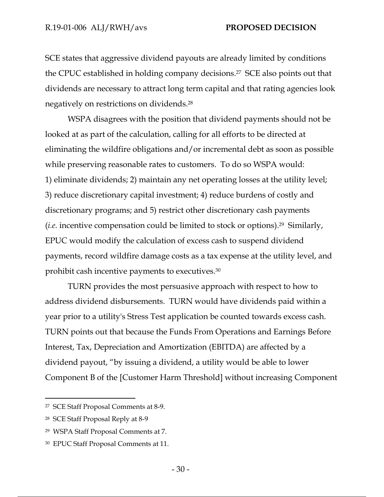SCE states that aggressive dividend payouts are already limited by conditions the CPUC established in holding company decisions.27 SCE also points out that dividends are necessary to attract long term capital and that rating agencies look negatively on restrictions on dividends.28

WSPA disagrees with the position that dividend payments should not be looked at as part of the calculation, calling for all efforts to be directed at eliminating the wildfire obligations and/or incremental debt as soon as possible while preserving reasonable rates to customers. To do so WSPA would: 1) eliminate dividends; 2) maintain any net operating losses at the utility level; 3) reduce discretionary capital investment; 4) reduce burdens of costly and discretionary programs; and 5) restrict other discretionary cash payments (*i.e.* incentive compensation could be limited to stock or options).29 Similarly, EPUC would modify the calculation of excess cash to suspend dividend payments, record wildfire damage costs as a tax expense at the utility level, and prohibit cash incentive payments to executives.30

TURN provides the most persuasive approach with respect to how to address dividend disbursements. TURN would have dividends paid within a year prior to a utility's Stress Test application be counted towards excess cash. TURN points out that because the Funds From Operations and Earnings Before Interest, Tax, Depreciation and Amortization (EBITDA) are affected by a dividend payout, "by issuing a dividend, a utility would be able to lower Component B of the [Customer Harm Threshold] without increasing Component

-

<sup>27</sup> SCE Staff Proposal Comments at 8-9.

<sup>28</sup> SCE Staff Proposal Reply at 8-9

<sup>29</sup> WSPA Staff Proposal Comments at 7.

<sup>30</sup> EPUC Staff Proposal Comments at 11.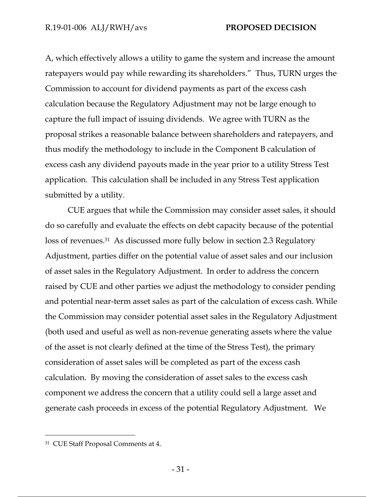A, which effectively allows a utility to game the system and increase the amount ratepayers would pay while rewarding its shareholders." Thus, TURN urges the Commission to account for dividend payments as part of the excess cash calculation because the Regulatory Adjustment may not be large enough to capture the full impact of issuing dividends. We agree with TURN as the proposal strikes a reasonable balance between shareholders and ratepayers, and thus modify the methodology to include in the Component B calculation of excess cash any dividend payouts made in the year prior to a utility Stress Test application. This calculation shall be included in any Stress Test application submitted by a utility.

CUE argues that while the Commission may consider asset sales, it should do so carefully and evaluate the effects on debt capacity because of the potential loss of revenues.31 As discussed more fully below in section 2.3 Regulatory Adjustment, parties differ on the potential value of asset sales and our inclusion of asset sales in the Regulatory Adjustment. In order to address the concern raised by CUE and other parties we adjust the methodology to consider pending and potential near-term asset sales as part of the calculation of excess cash. While the Commission may consider potential asset sales in the Regulatory Adjustment (both used and useful as well as non-revenue generating assets where the value of the asset is not clearly defined at the time of the Stress Test), the primary consideration of asset sales will be completed as part of the excess cash calculation. By moving the consideration of asset sales to the excess cash component we address the concern that a utility could sell a large asset and generate cash proceeds in excess of the potential Regulatory Adjustment. We

-

<sup>31</sup> CUE Staff Proposal Comments at 4.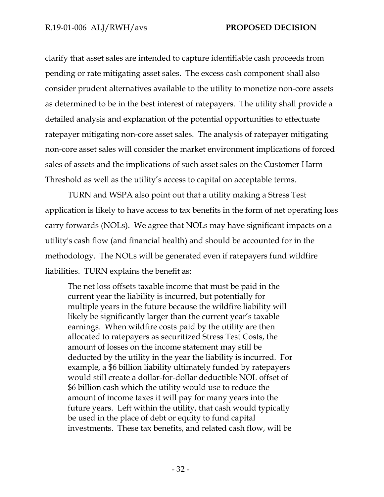clarify that asset sales are intended to capture identifiable cash proceeds from pending or rate mitigating asset sales. The excess cash component shall also consider prudent alternatives available to the utility to monetize non-core assets as determined to be in the best interest of ratepayers. The utility shall provide a detailed analysis and explanation of the potential opportunities to effectuate ratepayer mitigating non-core asset sales. The analysis of ratepayer mitigating non-core asset sales will consider the market environment implications of forced sales of assets and the implications of such asset sales on the Customer Harm Threshold as well as the utility's access to capital on acceptable terms.

TURN and WSPA also point out that a utility making a Stress Test application is likely to have access to tax benefits in the form of net operating loss carry forwards (NOLs). We agree that NOLs may have significant impacts on a utility's cash flow (and financial health) and should be accounted for in the methodology. The NOLs will be generated even if ratepayers fund wildfire liabilities. TURN explains the benefit as:

The net loss offsets taxable income that must be paid in the current year the liability is incurred, but potentially for multiple years in the future because the wildfire liability will likely be significantly larger than the current year's taxable earnings. When wildfire costs paid by the utility are then allocated to ratepayers as securitized Stress Test Costs, the amount of losses on the income statement may still be deducted by the utility in the year the liability is incurred. For example, a \$6 billion liability ultimately funded by ratepayers would still create a dollar-for-dollar deductible NOL offset of \$6 billion cash which the utility would use to reduce the amount of income taxes it will pay for many years into the future years. Left within the utility, that cash would typically be used in the place of debt or equity to fund capital investments. These tax benefits, and related cash flow, will be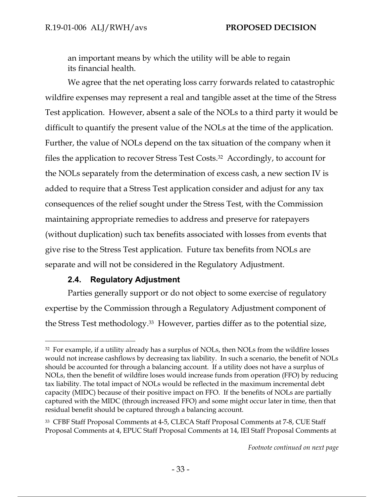an important means by which the utility will be able to regain its financial health.

We agree that the net operating loss carry forwards related to catastrophic wildfire expenses may represent a real and tangible asset at the time of the Stress Test application. However, absent a sale of the NOLs to a third party it would be difficult to quantify the present value of the NOLs at the time of the application. Further, the value of NOLs depend on the tax situation of the company when it files the application to recover Stress Test Costs.32 Accordingly, to account for the NOLs separately from the determination of excess cash, a new section IV is added to require that a Stress Test application consider and adjust for any tax consequences of the relief sought under the Stress Test, with the Commission maintaining appropriate remedies to address and preserve for ratepayers (without duplication) such tax benefits associated with losses from events that give rise to the Stress Test application. Future tax benefits from NOLs are separate and will not be considered in the Regulatory Adjustment.

## **2.4. Regulatory Adjustment**

-

Parties generally support or do not object to some exercise of regulatory expertise by the Commission through a Regulatory Adjustment component of the Stress Test methodology.33 However, parties differ as to the potential size,

<sup>&</sup>lt;sup>32</sup> For example, if a utility already has a surplus of NOLs, then NOLs from the wildfire losses would not increase cashflows by decreasing tax liability. In such a scenario, the benefit of NOLs should be accounted for through a balancing account. If a utility does not have a surplus of NOLs, then the benefit of wildfire loses would increase funds from operation (FFO) by reducing tax liability. The total impact of NOLs would be reflected in the maximum incremental debt capacity (MIDC) because of their positive impact on FFO. If the benefits of NOLs are partially captured with the MIDC (through increased FFO) and some might occur later in time, then that residual benefit should be captured through a balancing account.

<sup>33</sup> CFBF Staff Proposal Comments at 4-5, CLECA Staff Proposal Comments at 7-8, CUE Staff Proposal Comments at 4, EPUC Staff Proposal Comments at 14, IEI Staff Proposal Comments at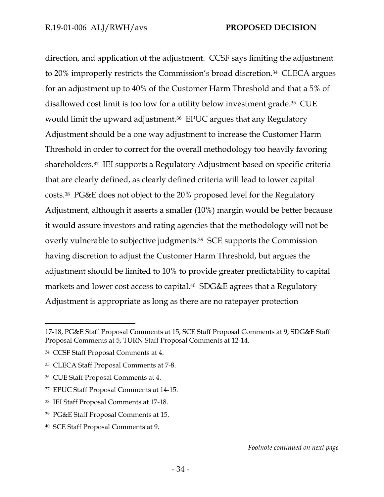direction, and application of the adjustment. CCSF says limiting the adjustment to 20% improperly restricts the Commission's broad discretion.34 CLECA argues for an adjustment up to 40% of the Customer Harm Threshold and that a 5% of disallowed cost limit is too low for a utility below investment grade.35 CUE would limit the upward adjustment.<sup>36</sup> EPUC argues that any Regulatory Adjustment should be a one way adjustment to increase the Customer Harm Threshold in order to correct for the overall methodology too heavily favoring shareholders.37 IEI supports a Regulatory Adjustment based on specific criteria that are clearly defined, as clearly defined criteria will lead to lower capital costs.38 PG&E does not object to the 20% proposed level for the Regulatory Adjustment, although it asserts a smaller (10%) margin would be better because it would assure investors and rating agencies that the methodology will not be overly vulnerable to subjective judgments.39 SCE supports the Commission having discretion to adjust the Customer Harm Threshold, but argues the adjustment should be limited to 10% to provide greater predictability to capital markets and lower cost access to capital.<sup>40</sup> SDG&E agrees that a Regulatory Adjustment is appropriate as long as there are no ratepayer protection

 $\overline{a}$ 

40 SCE Staff Proposal Comments at 9.

<sup>17-18,</sup> PG&E Staff Proposal Comments at 15, SCE Staff Proposal Comments at 9, SDG&E Staff Proposal Comments at 5, TURN Staff Proposal Comments at 12-14.

<sup>34</sup> CCSF Staff Proposal Comments at 4.

<sup>35</sup> CLECA Staff Proposal Comments at 7-8.

<sup>36</sup> CUE Staff Proposal Comments at 4.

<sup>37</sup> EPUC Staff Proposal Comments at 14-15.

<sup>38</sup> IEI Staff Proposal Comments at 17-18.

<sup>39</sup> PG&E Staff Proposal Comments at 15.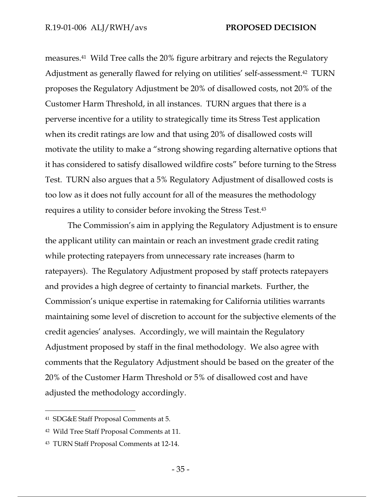measures.41 Wild Tree calls the 20% figure arbitrary and rejects the Regulatory Adjustment as generally flawed for relying on utilities' self-assessment.<sup>42</sup> TURN proposes the Regulatory Adjustment be 20% of disallowed costs, not 20% of the Customer Harm Threshold, in all instances. TURN argues that there is a perverse incentive for a utility to strategically time its Stress Test application when its credit ratings are low and that using 20% of disallowed costs will motivate the utility to make a "strong showing regarding alternative options that it has considered to satisfy disallowed wildfire costs" before turning to the Stress Test. TURN also argues that a 5% Regulatory Adjustment of disallowed costs is too low as it does not fully account for all of the measures the methodology requires a utility to consider before invoking the Stress Test.43

The Commission's aim in applying the Regulatory Adjustment is to ensure the applicant utility can maintain or reach an investment grade credit rating while protecting ratepayers from unnecessary rate increases (harm to ratepayers). The Regulatory Adjustment proposed by staff protects ratepayers and provides a high degree of certainty to financial markets. Further, the Commission's unique expertise in ratemaking for California utilities warrants maintaining some level of discretion to account for the subjective elements of the credit agencies' analyses. Accordingly, we will maintain the Regulatory Adjustment proposed by staff in the final methodology. We also agree with comments that the Regulatory Adjustment should be based on the greater of the 20% of the Customer Harm Threshold or 5% of disallowed cost and have adjusted the methodology accordingly.

-

<sup>41</sup> SDG&E Staff Proposal Comments at 5.

<sup>42</sup> Wild Tree Staff Proposal Comments at 11.

<sup>43</sup> TURN Staff Proposal Comments at 12-14.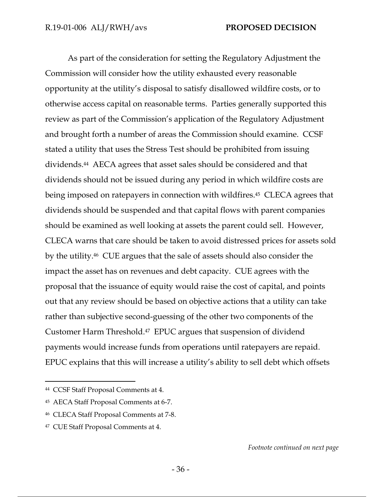As part of the consideration for setting the Regulatory Adjustment the Commission will consider how the utility exhausted every reasonable opportunity at the utility's disposal to satisfy disallowed wildfire costs, or to otherwise access capital on reasonable terms. Parties generally supported this review as part of the Commission's application of the Regulatory Adjustment and brought forth a number of areas the Commission should examine. CCSF stated a utility that uses the Stress Test should be prohibited from issuing dividends.44 AECA agrees that asset sales should be considered and that dividends should not be issued during any period in which wildfire costs are being imposed on ratepayers in connection with wildfires.45 CLECA agrees that dividends should be suspended and that capital flows with parent companies should be examined as well looking at assets the parent could sell. However, CLECA warns that care should be taken to avoid distressed prices for assets sold by the utility.46 CUE argues that the sale of assets should also consider the impact the asset has on revenues and debt capacity. CUE agrees with the proposal that the issuance of equity would raise the cost of capital, and points out that any review should be based on objective actions that a utility can take rather than subjective second-guessing of the other two components of the Customer Harm Threshold.47 EPUC argues that suspension of dividend payments would increase funds from operations until ratepayers are repaid. EPUC explains that this will increase a utility's ability to sell debt which offsets

 $\overline{a}$ 

<sup>44</sup> CCSF Staff Proposal Comments at 4.

<sup>45</sup> AECA Staff Proposal Comments at 6-7.

<sup>46</sup> CLECA Staff Proposal Comments at 7-8.

<sup>47</sup> CUE Staff Proposal Comments at 4.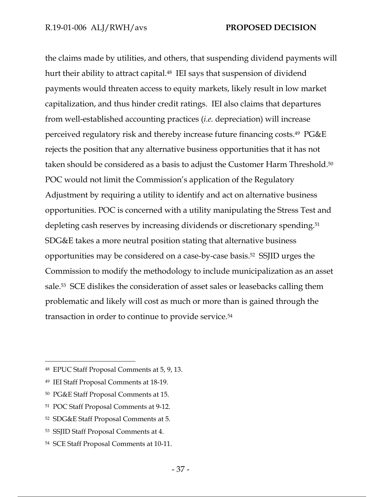the claims made by utilities, and others, that suspending dividend payments will hurt their ability to attract capital.<sup>48</sup> IEI says that suspension of dividend payments would threaten access to equity markets, likely result in low market capitalization, and thus hinder credit ratings. IEI also claims that departures from well-established accounting practices (*i.e.* depreciation) will increase perceived regulatory risk and thereby increase future financing costs.49 PG&E rejects the position that any alternative business opportunities that it has not taken should be considered as a basis to adjust the Customer Harm Threshold.50 POC would not limit the Commission's application of the Regulatory Adjustment by requiring a utility to identify and act on alternative business opportunities. POC is concerned with a utility manipulating the Stress Test and depleting cash reserves by increasing dividends or discretionary spending.51 SDG&E takes a more neutral position stating that alternative business opportunities may be considered on a case-by-case basis.52 SSJID urges the Commission to modify the methodology to include municipalization as an asset sale.53 SCE dislikes the consideration of asset sales or leasebacks calling them problematic and likely will cost as much or more than is gained through the transaction in order to continue to provide service.54

 $\overline{a}$ 

<sup>48</sup> EPUC Staff Proposal Comments at 5, 9, 13.

<sup>49</sup> IEI Staff Proposal Comments at 18-19.

<sup>50</sup> PG&E Staff Proposal Comments at 15.

<sup>51</sup> POC Staff Proposal Comments at 9-12.

<sup>52</sup> SDG&E Staff Proposal Comments at 5.

<sup>53</sup> SSJID Staff Proposal Comments at 4.

<sup>54</sup> SCE Staff Proposal Comments at 10-11.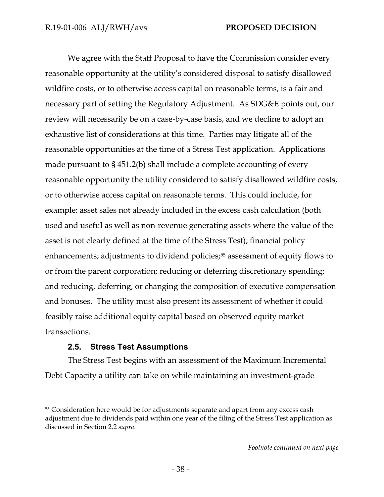We agree with the Staff Proposal to have the Commission consider every reasonable opportunity at the utility's considered disposal to satisfy disallowed wildfire costs, or to otherwise access capital on reasonable terms, is a fair and necessary part of setting the Regulatory Adjustment. As SDG&E points out, our review will necessarily be on a case-by-case basis, and we decline to adopt an exhaustive list of considerations at this time. Parties may litigate all of the reasonable opportunities at the time of a Stress Test application. Applications made pursuant to § 451.2(b) shall include a complete accounting of every reasonable opportunity the utility considered to satisfy disallowed wildfire costs, or to otherwise access capital on reasonable terms. This could include, for example: asset sales not already included in the excess cash calculation (both used and useful as well as non-revenue generating assets where the value of the asset is not clearly defined at the time of the Stress Test); financial policy enhancements; adjustments to dividend policies;<sup>55</sup> assessment of equity flows to or from the parent corporation; reducing or deferring discretionary spending; and reducing, deferring, or changing the composition of executive compensation and bonuses. The utility must also present its assessment of whether it could feasibly raise additional equity capital based on observed equity market transactions.

## **2.5. Stress Test Assumptions**

-

The Stress Test begins with an assessment of the Maximum Incremental Debt Capacity a utility can take on while maintaining an investment-grade

<sup>55</sup> Consideration here would be for adjustments separate and apart from any excess cash adjustment due to dividends paid within one year of the filing of the Stress Test application as discussed in Section 2.2 *supra*.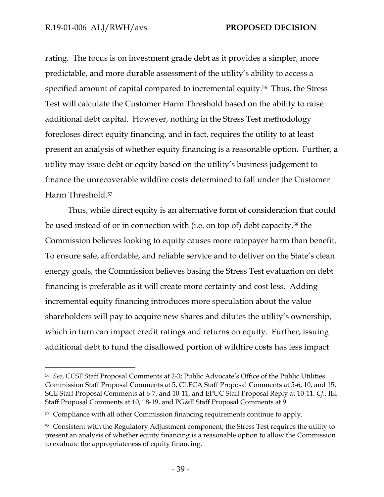$\overline{a}$ 

rating. The focus is on investment grade debt as it provides a simpler, more predictable, and more durable assessment of the utility's ability to access a specified amount of capital compared to incremental equity.56 Thus, the Stress Test will calculate the Customer Harm Threshold based on the ability to raise additional debt capital. However, nothing in the Stress Test methodology forecloses direct equity financing, and in fact, requires the utility to at least present an analysis of whether equity financing is a reasonable option. Further, a utility may issue debt or equity based on the utility's business judgement to finance the unrecoverable wildfire costs determined to fall under the Customer Harm Threshold.57

Thus, while direct equity is an alternative form of consideration that could be used instead of or in connection with (i.e. on top of) debt capacity,<sup>58</sup> the Commission believes looking to equity causes more ratepayer harm than benefit. To ensure safe, affordable, and reliable service and to deliver on the State's clean energy goals, the Commission believes basing the Stress Test evaluation on debt financing is preferable as it will create more certainty and cost less. Adding incremental equity financing introduces more speculation about the value shareholders will pay to acquire new shares and dilutes the utility's ownership, which in turn can impact credit ratings and returns on equity. Further, issuing additional debt to fund the disallowed portion of wildfire costs has less impact

<sup>56</sup> *See*, CCSF Staff Proposal Comments at 2-3; Public Advocate's Office of the Public Utilities Commission Staff Proposal Comments at 5, CLECA Staff Proposal Comments at 5-6, 10, and 15, SCE Staff Proposal Comments at 6-7, and 10-11, and EPUC Staff Proposal Reply at 10-11. *Cf.*, IEI Staff Proposal Comments at 10, 18-19, and PG&E Staff Proposal Comments at 9.

<sup>57</sup> Compliance with all other Commission financing requirements continue to apply.

<sup>58</sup> Consistent with the Regulatory Adjustment component, the Stress Test requires the utility to present an analysis of whether equity financing is a reasonable option to allow the Commission to evaluate the appropriateness of equity financing.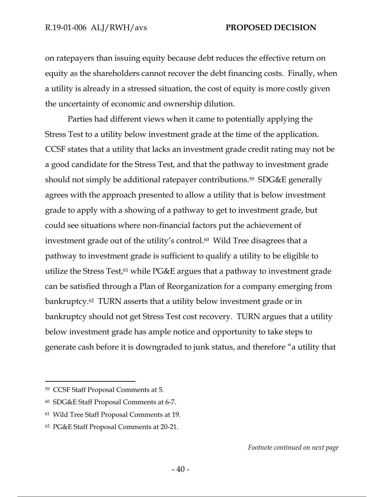on ratepayers than issuing equity because debt reduces the effective return on equity as the shareholders cannot recover the debt financing costs. Finally, when a utility is already in a stressed situation, the cost of equity is more costly given the uncertainty of economic and ownership dilution.

Parties had different views when it came to potentially applying the Stress Test to a utility below investment grade at the time of the application. CCSF states that a utility that lacks an investment grade credit rating may not be a good candidate for the Stress Test, and that the pathway to investment grade should not simply be additional ratepayer contributions.59 SDG&E generally agrees with the approach presented to allow a utility that is below investment grade to apply with a showing of a pathway to get to investment grade, but could see situations where non-financial factors put the achievement of investment grade out of the utility's control.<sup>60</sup> Wild Tree disagrees that a pathway to investment grade is sufficient to qualify a utility to be eligible to utilize the Stress Test,<sup>61</sup> while PG&E argues that a pathway to investment grade can be satisfied through a Plan of Reorganization for a company emerging from bankruptcy.62 TURN asserts that a utility below investment grade or in bankruptcy should not get Stress Test cost recovery. TURN argues that a utility below investment grade has ample notice and opportunity to take steps to generate cash before it is downgraded to junk status, and therefore "a utility that

-

*Footnote continued on next page*

<sup>59</sup> CCSF Staff Proposal Comments at 5.

<sup>60</sup> SDG&E Staff Proposal Comments at 6-7.

<sup>61</sup> Wild Tree Staff Proposal Comments at 19.

<sup>62</sup> PG&E Staff Proposal Comments at 20-21.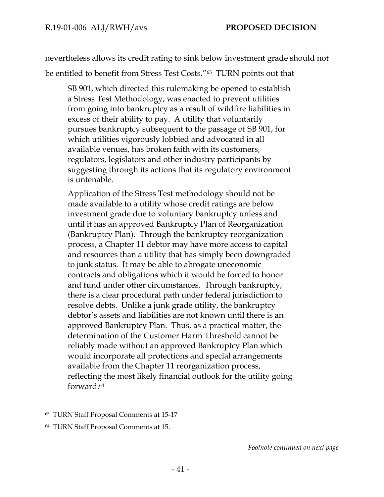nevertheless allows its credit rating to sink below investment grade should not be entitled to benefit from Stress Test Costs."63 TURN points out that

SB 901, which directed this rulemaking be opened to establish a Stress Test Methodology, was enacted to prevent utilities from going into bankruptcy as a result of wildfire liabilities in excess of their ability to pay. A utility that voluntarily pursues bankruptcy subsequent to the passage of SB 901, for which utilities vigorously lobbied and advocated in all available venues, has broken faith with its customers, regulators, legislators and other industry participants by suggesting through its actions that its regulatory environment is untenable.

Application of the Stress Test methodology should not be made available to a utility whose credit ratings are below investment grade due to voluntary bankruptcy unless and until it has an approved Bankruptcy Plan of Reorganization (Bankruptcy Plan). Through the bankruptcy reorganization process, a Chapter 11 debtor may have more access to capital and resources than a utility that has simply been downgraded to junk status. It may be able to abrogate uneconomic contracts and obligations which it would be forced to honor and fund under other circumstances. Through bankruptcy, there is a clear procedural path under federal jurisdiction to resolve debts. Unlike a junk grade utility, the bankruptcy debtor's assets and liabilities are not known until there is an approved Bankruptcy Plan. Thus, as a practical matter, the determination of the Customer Harm Threshold cannot be reliably made without an approved Bankruptcy Plan which would incorporate all protections and special arrangements available from the Chapter 11 reorganization process, reflecting the most likely financial outlook for the utility going forward.64

 $\overline{a}$ 

<sup>63</sup> TURN Staff Proposal Comments at 15-17

<sup>64</sup> TURN Staff Proposal Comments at 15.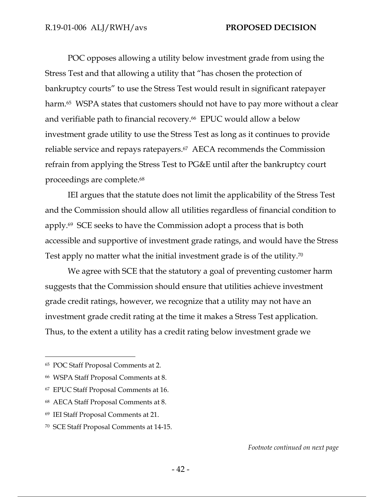POC opposes allowing a utility below investment grade from using the Stress Test and that allowing a utility that "has chosen the protection of bankruptcy courts" to use the Stress Test would result in significant ratepayer harm.<sup>65</sup> WSPA states that customers should not have to pay more without a clear and verifiable path to financial recovery.66 EPUC would allow a below investment grade utility to use the Stress Test as long as it continues to provide reliable service and repays ratepayers.67 AECA recommends the Commission refrain from applying the Stress Test to PG&E until after the bankruptcy court proceedings are complete.68

IEI argues that the statute does not limit the applicability of the Stress Test and the Commission should allow all utilities regardless of financial condition to apply.69 SCE seeks to have the Commission adopt a process that is both accessible and supportive of investment grade ratings, and would have the Stress Test apply no matter what the initial investment grade is of the utility.70

We agree with SCE that the statutory a goal of preventing customer harm suggests that the Commission should ensure that utilities achieve investment grade credit ratings, however, we recognize that a utility may not have an investment grade credit rating at the time it makes a Stress Test application. Thus, to the extent a utility has a credit rating below investment grade we

-

<sup>65</sup> POC Staff Proposal Comments at 2.

<sup>66</sup> WSPA Staff Proposal Comments at 8.

<sup>67</sup> EPUC Staff Proposal Comments at 16.

<sup>68</sup> AECA Staff Proposal Comments at 8.

<sup>69</sup> IEI Staff Proposal Comments at 21.

<sup>70</sup> SCE Staff Proposal Comments at 14-15.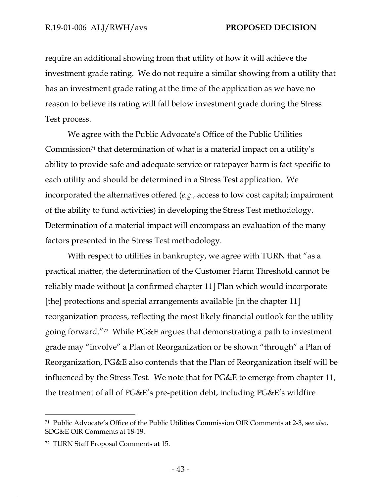require an additional showing from that utility of how it will achieve the investment grade rating. We do not require a similar showing from a utility that has an investment grade rating at the time of the application as we have no reason to believe its rating will fall below investment grade during the Stress Test process.

We agree with the Public Advocate's Office of the Public Utilities Commission<sup>71</sup> that determination of what is a material impact on a utility's ability to provide safe and adequate service or ratepayer harm is fact specific to each utility and should be determined in a Stress Test application. We incorporated the alternatives offered (*e.g.,* access to low cost capital; impairment of the ability to fund activities) in developing the Stress Test methodology. Determination of a material impact will encompass an evaluation of the many factors presented in the Stress Test methodology.

With respect to utilities in bankruptcy, we agree with TURN that "as a practical matter, the determination of the Customer Harm Threshold cannot be reliably made without [a confirmed chapter 11] Plan which would incorporate [the] protections and special arrangements available [in the chapter 11] reorganization process, reflecting the most likely financial outlook for the utility going forward."72 While PG&E argues that demonstrating a path to investment grade may "involve" a Plan of Reorganization or be shown "through" a Plan of Reorganization, PG&E also contends that the Plan of Reorganization itself will be influenced by the Stress Test. We note that for PG&E to emerge from chapter 11, the treatment of all of PG&E's pre-petition debt, including PG&E's wildfire

-

<sup>71</sup> Public Advocate's Office of the Public Utilities Commission OIR Comments at 2-3, se*e also*, SDG&E OIR Comments at 18-19.

<sup>72</sup> TURN Staff Proposal Comments at 15.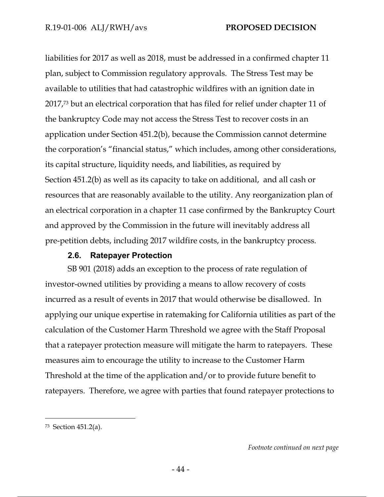liabilities for 2017 as well as 2018, must be addressed in a confirmed chapter 11 plan, subject to Commission regulatory approvals. The Stress Test may be available to utilities that had catastrophic wildfires with an ignition date in 2017,73 but an electrical corporation that has filed for relief under chapter 11 of the bankruptcy Code may not access the Stress Test to recover costs in an application under Section 451.2(b), because the Commission cannot determine the corporation's "financial status," which includes, among other considerations, its capital structure, liquidity needs, and liabilities, as required by Section 451.2(b) as well as its capacity to take on additional, and all cash or resources that are reasonably available to the utility. Any reorganization plan of an electrical corporation in a chapter 11 case confirmed by the Bankruptcy Court and approved by the Commission in the future will inevitably address all pre-petition debts, including 2017 wildfire costs, in the bankruptcy process.

## **2.6. Ratepayer Protection**

SB 901 (2018) adds an exception to the process of rate regulation of investor-owned utilities by providing a means to allow recovery of costs incurred as a result of events in 2017 that would otherwise be disallowed. In applying our unique expertise in ratemaking for California utilities as part of the calculation of the Customer Harm Threshold we agree with the Staff Proposal that a ratepayer protection measure will mitigate the harm to ratepayers. These measures aim to encourage the utility to increase to the Customer Harm Threshold at the time of the application and/or to provide future benefit to ratepayers. Therefore, we agree with parties that found ratepayer protections to

-

*Footnote continued on next page*

<sup>73</sup> Section 451.2(a).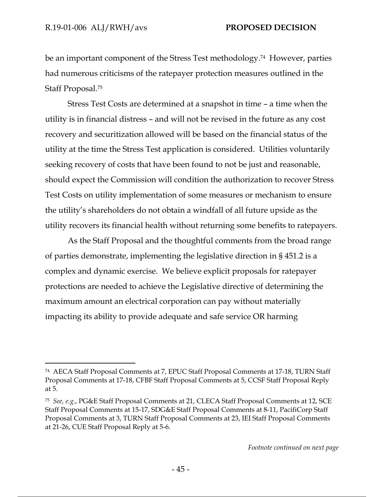-

be an important component of the Stress Test methodology.74 However, parties had numerous criticisms of the ratepayer protection measures outlined in the Staff Proposal.75

Stress Test Costs are determined at a snapshot in time – a time when the utility is in financial distress – and will not be revised in the future as any cost recovery and securitization allowed will be based on the financial status of the utility at the time the Stress Test application is considered. Utilities voluntarily seeking recovery of costs that have been found to not be just and reasonable, should expect the Commission will condition the authorization to recover Stress Test Costs on utility implementation of some measures or mechanism to ensure the utility's shareholders do not obtain a windfall of all future upside as the utility recovers its financial health without returning some benefits to ratepayers.

As the Staff Proposal and the thoughtful comments from the broad range of parties demonstrate, implementing the legislative direction in § 451.2 is a complex and dynamic exercise. We believe explicit proposals for ratepayer protections are needed to achieve the Legislative directive of determining the maximum amount an electrical corporation can pay without materially impacting its ability to provide adequate and safe service OR harming

*Footnote continued on next page*

<sup>74</sup> AECA Staff Proposal Comments at 7, EPUC Staff Proposal Comments at 17-18, TURN Staff Proposal Comments at 17-18, CFBF Staff Proposal Comments at 5, CCSF Staff Proposal Reply at 5.

<sup>75</sup> *See, e.g.*, PG&E Staff Proposal Comments at 21, CLECA Staff Proposal Comments at 12, SCE Staff Proposal Comments at 15-17, SDG&E Staff Proposal Comments at 8-11, PacifiCorp Staff Proposal Comments at 3, TURN Staff Proposal Comments at 23, IEI Staff Proposal Comments at 21-26, CUE Staff Proposal Reply at 5-6.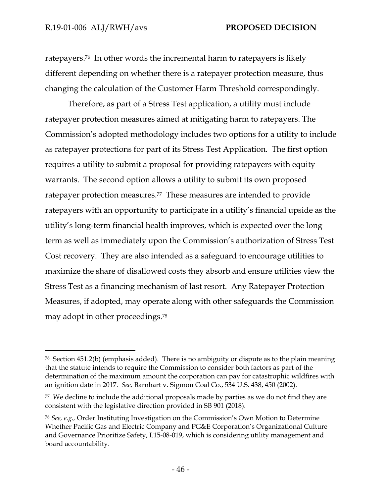$\overline{a}$ 

ratepayers.76 In other words the incremental harm to ratepayers is likely different depending on whether there is a ratepayer protection measure, thus changing the calculation of the Customer Harm Threshold correspondingly.

Therefore, as part of a Stress Test application, a utility must include ratepayer protection measures aimed at mitigating harm to ratepayers. The Commission's adopted methodology includes two options for a utility to include as ratepayer protections for part of its Stress Test Application. The first option requires a utility to submit a proposal for providing ratepayers with equity warrants. The second option allows a utility to submit its own proposed ratepayer protection measures.77 These measures are intended to provide ratepayers with an opportunity to participate in a utility's financial upside as the utility's long-term financial health improves, which is expected over the long term as well as immediately upon the Commission's authorization of Stress Test Cost recovery. They are also intended as a safeguard to encourage utilities to maximize the share of disallowed costs they absorb and ensure utilities view the Stress Test as a financing mechanism of last resort. Any Ratepayer Protection Measures, if adopted, may operate along with other safeguards the Commission may adopt in other proceedings.78

<sup>76</sup> Section 451.2(b) (emphasis added). There is no ambiguity or dispute as to the plain meaning that the statute intends to require the Commission to consider both factors as part of the determination of the maximum amount the corporation can pay for catastrophic wildfires with an ignition date in 2017. *See,* Barnhart v. Sigmon Coal Co., 534 U.S. 438, 450 (2002).

<sup>77</sup> We decline to include the additional proposals made by parties as we do not find they are consistent with the legislative direction provided in SB 901 (2018).

<sup>78</sup> *See, e.g.,* Order Instituting Investigation on the Commission's Own Motion to Determine Whether Pacific Gas and Electric Company and PG&E Corporation's Organizational Culture and Governance Prioritize Safety, I.15-08-019, which is considering utility management and board accountability.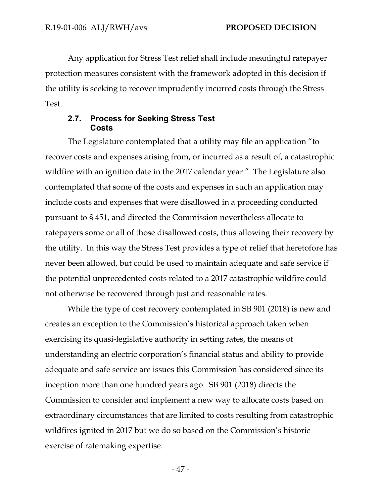Any application for Stress Test relief shall include meaningful ratepayer protection measures consistent with the framework adopted in this decision if the utility is seeking to recover imprudently incurred costs through the Stress Test.

### **2.7. Process for Seeking Stress Test Costs**

The Legislature contemplated that a utility may file an application "to recover costs and expenses arising from, or incurred as a result of, a catastrophic wildfire with an ignition date in the 2017 calendar year." The Legislature also contemplated that some of the costs and expenses in such an application may include costs and expenses that were disallowed in a proceeding conducted pursuant to § 451, and directed the Commission nevertheless allocate to ratepayers some or all of those disallowed costs, thus allowing their recovery by the utility. In this way the Stress Test provides a type of relief that heretofore has never been allowed, but could be used to maintain adequate and safe service if the potential unprecedented costs related to a 2017 catastrophic wildfire could not otherwise be recovered through just and reasonable rates.

While the type of cost recovery contemplated in SB 901 (2018) is new and creates an exception to the Commission's historical approach taken when exercising its quasi-legislative authority in setting rates, the means of understanding an electric corporation's financial status and ability to provide adequate and safe service are issues this Commission has considered since its inception more than one hundred years ago. SB 901 (2018) directs the Commission to consider and implement a new way to allocate costs based on extraordinary circumstances that are limited to costs resulting from catastrophic wildfires ignited in 2017 but we do so based on the Commission's historic exercise of ratemaking expertise.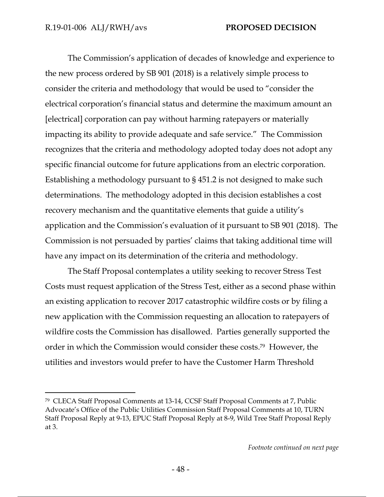-

The Commission's application of decades of knowledge and experience to the new process ordered by SB 901 (2018) is a relatively simple process to consider the criteria and methodology that would be used to "consider the electrical corporation's financial status and determine the maximum amount an [electrical] corporation can pay without harming ratepayers or materially impacting its ability to provide adequate and safe service." The Commission recognizes that the criteria and methodology adopted today does not adopt any specific financial outcome for future applications from an electric corporation. Establishing a methodology pursuant to § 451.2 is not designed to make such determinations. The methodology adopted in this decision establishes a cost recovery mechanism and the quantitative elements that guide a utility's application and the Commission's evaluation of it pursuant to SB 901 (2018). The Commission is not persuaded by parties' claims that taking additional time will have any impact on its determination of the criteria and methodology.

The Staff Proposal contemplates a utility seeking to recover Stress Test Costs must request application of the Stress Test, either as a second phase within an existing application to recover 2017 catastrophic wildfire costs or by filing a new application with the Commission requesting an allocation to ratepayers of wildfire costs the Commission has disallowed. Parties generally supported the order in which the Commission would consider these costs.79 However, the utilities and investors would prefer to have the Customer Harm Threshold

<sup>79</sup> CLECA Staff Proposal Comments at 13-14, CCSF Staff Proposal Comments at 7, Public Advocate's Office of the Public Utilities Commission Staff Proposal Comments at 10, TURN Staff Proposal Reply at 9-13, EPUC Staff Proposal Reply at 8-9, Wild Tree Staff Proposal Reply at 3.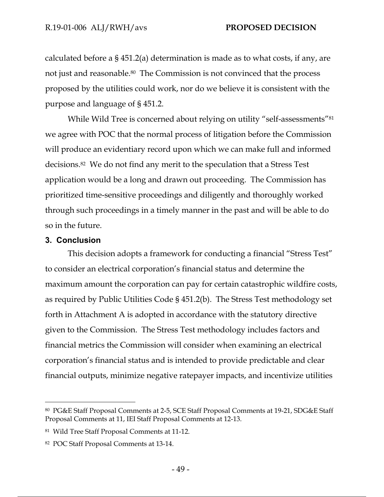calculated before a § 451.2(a) determination is made as to what costs, if any, are not just and reasonable.<sup>80</sup> The Commission is not convinced that the process proposed by the utilities could work, nor do we believe it is consistent with the purpose and language of § 451.2.

While Wild Tree is concerned about relying on utility "self-assessments"<sup>81</sup> we agree with POC that the normal process of litigation before the Commission will produce an evidentiary record upon which we can make full and informed decisions.82 We do not find any merit to the speculation that a Stress Test application would be a long and drawn out proceeding. The Commission has prioritized time-sensitive proceedings and diligently and thoroughly worked through such proceedings in a timely manner in the past and will be able to do so in the future.

## **3. Conclusion**

 $\overline{a}$ 

This decision adopts a framework for conducting a financial "Stress Test" to consider an electrical corporation's financial status and determine the maximum amount the corporation can pay for certain catastrophic wildfire costs, as required by Public Utilities Code § 451.2(b). The Stress Test methodology set forth in Attachment A is adopted in accordance with the statutory directive given to the Commission. The Stress Test methodology includes factors and financial metrics the Commission will consider when examining an electrical corporation's financial status and is intended to provide predictable and clear financial outputs, minimize negative ratepayer impacts, and incentivize utilities

<sup>80</sup> PG&E Staff Proposal Comments at 2-5, SCE Staff Proposal Comments at 19-21, SDG&E Staff Proposal Comments at 11, IEI Staff Proposal Comments at 12-13.

<sup>81</sup> Wild Tree Staff Proposal Comments at 11-12.

<sup>82</sup> POC Staff Proposal Comments at 13-14.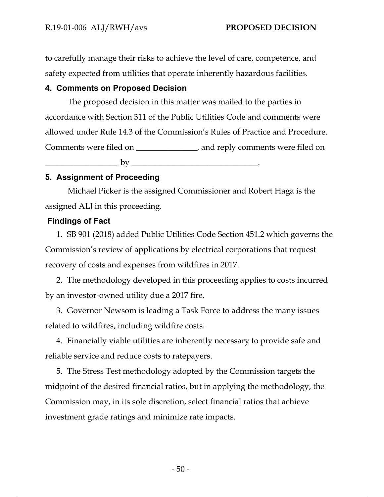to carefully manage their risks to achieve the level of care, competence, and safety expected from utilities that operate inherently hazardous facilities.

## **4. Comments on Proposed Decision**

The proposed decision in this matter was mailed to the parties in accordance with Section 311 of the Public Utilities Code and comments were allowed under Rule 14.3 of the Commission's Rules of Practice and Procedure. Comments were filed on \_\_\_\_\_\_\_\_\_\_\_\_\_\_\_, and reply comments were filed on \_\_\_\_\_\_\_\_\_\_\_\_\_\_\_\_\_\_ by \_\_\_\_\_\_\_\_\_\_\_\_\_\_\_\_\_\_\_\_\_\_\_\_\_\_\_\_\_\_\_.

## **5. Assignment of Proceeding**

Michael Picker is the assigned Commissioner and Robert Haga is the assigned ALJ in this proceeding.

## **Findings of Fact**

1. SB 901 (2018) added Public Utilities Code Section 451.2 which governs the Commission's review of applications by electrical corporations that request recovery of costs and expenses from wildfires in 2017.

2. The methodology developed in this proceeding applies to costs incurred by an investor-owned utility due a 2017 fire.

3. Governor Newsom is leading a Task Force to address the many issues related to wildfires, including wildfire costs.

4. Financially viable utilities are inherently necessary to provide safe and reliable service and reduce costs to ratepayers.

5. The Stress Test methodology adopted by the Commission targets the midpoint of the desired financial ratios, but in applying the methodology, the Commission may, in its sole discretion, select financial ratios that achieve investment grade ratings and minimize rate impacts.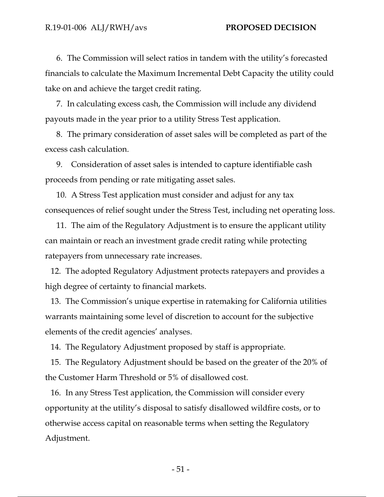6. The Commission will select ratios in tandem with the utility's forecasted financials to calculate the Maximum Incremental Debt Capacity the utility could take on and achieve the target credit rating.

7. In calculating excess cash, the Commission will include any dividend payouts made in the year prior to a utility Stress Test application.

8. The primary consideration of asset sales will be completed as part of the excess cash calculation.

9. Consideration of asset sales is intended to capture identifiable cash proceeds from pending or rate mitigating asset sales.

10. A Stress Test application must consider and adjust for any tax consequences of relief sought under the Stress Test, including net operating loss.

11. The aim of the Regulatory Adjustment is to ensure the applicant utility can maintain or reach an investment grade credit rating while protecting ratepayers from unnecessary rate increases.

12. The adopted Regulatory Adjustment protects ratepayers and provides a high degree of certainty to financial markets.

13. The Commission's unique expertise in ratemaking for California utilities warrants maintaining some level of discretion to account for the subjective elements of the credit agencies' analyses.

14. The Regulatory Adjustment proposed by staff is appropriate.

15. The Regulatory Adjustment should be based on the greater of the 20% of the Customer Harm Threshold or 5% of disallowed cost.

16. In any Stress Test application, the Commission will consider every opportunity at the utility's disposal to satisfy disallowed wildfire costs, or to otherwise access capital on reasonable terms when setting the Regulatory Adjustment.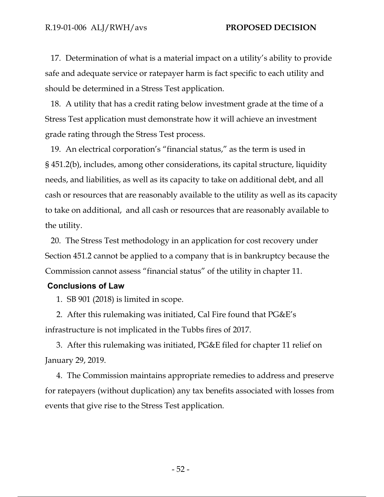17. Determination of what is a material impact on a utility's ability to provide safe and adequate service or ratepayer harm is fact specific to each utility and should be determined in a Stress Test application.

18. A utility that has a credit rating below investment grade at the time of a Stress Test application must demonstrate how it will achieve an investment grade rating through the Stress Test process.

19. An electrical corporation's "financial status," as the term is used in § 451.2(b), includes, among other considerations, its capital structure, liquidity needs, and liabilities, as well as its capacity to take on additional debt, and all cash or resources that are reasonably available to the utility as well as its capacity to take on additional, and all cash or resources that are reasonably available to the utility.

20. The Stress Test methodology in an application for cost recovery under Section 451.2 cannot be applied to a company that is in bankruptcy because the Commission cannot assess "financial status" of the utility in chapter 11.

## **Conclusions of Law**

1. SB 901 (2018) is limited in scope.

2. After this rulemaking was initiated, Cal Fire found that PG&E's infrastructure is not implicated in the Tubbs fires of 2017.

3. After this rulemaking was initiated, PG&E filed for chapter 11 relief on January 29, 2019.

4. The Commission maintains appropriate remedies to address and preserve for ratepayers (without duplication) any tax benefits associated with losses from events that give rise to the Stress Test application.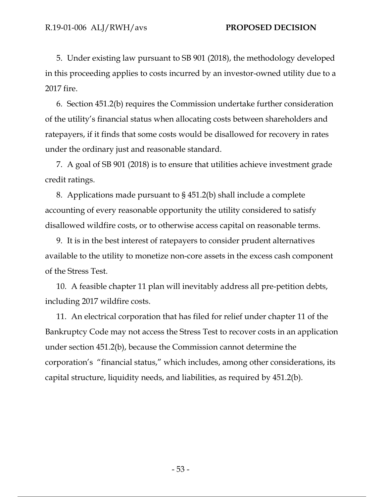5. Under existing law pursuant to SB 901 (2018), the methodology developed in this proceeding applies to costs incurred by an investor-owned utility due to a 2017 fire.

6. Section 451.2(b) requires the Commission undertake further consideration of the utility's financial status when allocating costs between shareholders and ratepayers, if it finds that some costs would be disallowed for recovery in rates under the ordinary just and reasonable standard.

7. A goal of SB 901 (2018) is to ensure that utilities achieve investment grade credit ratings.

8. Applications made pursuant to § 451.2(b) shall include a complete accounting of every reasonable opportunity the utility considered to satisfy disallowed wildfire costs, or to otherwise access capital on reasonable terms.

9. It is in the best interest of ratepayers to consider prudent alternatives available to the utility to monetize non-core assets in the excess cash component of the Stress Test.

10. A feasible chapter 11 plan will inevitably address all pre-petition debts, including 2017 wildfire costs.

11. An electrical corporation that has filed for relief under chapter 11 of the Bankruptcy Code may not access the Stress Test to recover costs in an application under section 451.2(b), because the Commission cannot determine the corporation's "financial status," which includes, among other considerations, its capital structure, liquidity needs, and liabilities, as required by 451.2(b).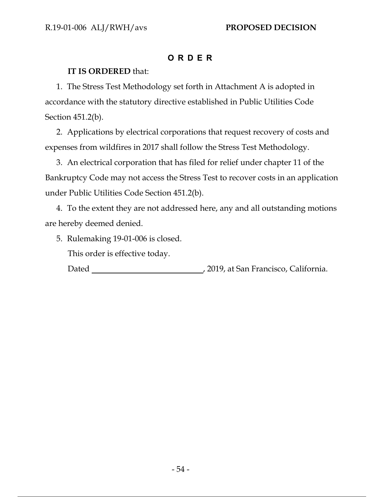# **ORDER**

## **IT IS ORDERED** that:

1. The Stress Test Methodology set forth in Attachment A is adopted in accordance with the statutory directive established in Public Utilities Code Section 451.2(b).

2. Applications by electrical corporations that request recovery of costs and expenses from wildfires in 2017 shall follow the Stress Test Methodology.

3. An electrical corporation that has filed for relief under chapter 11 of the Bankruptcy Code may not access the Stress Test to recover costs in an application under Public Utilities Code Section 451.2(b).

4. To the extent they are not addressed here, any and all outstanding motions are hereby deemed denied.

5. Rulemaking 19-01-006 is closed.

This order is effective today.

Dated **Dated** , 2019, at San Francisco, California.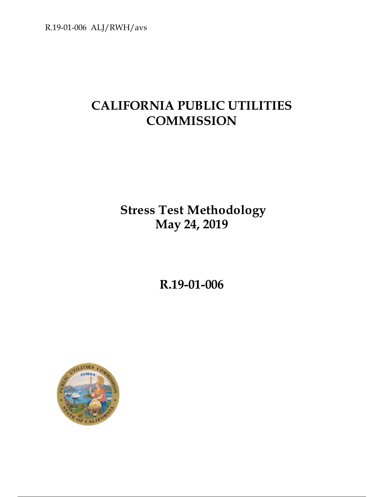R.19-01-006 ALJ/RWH/avs

# **CALIFORNIA PUBLIC UTILITIES COMMISSION**

**Stress Test Methodology May 24, 2019** 

**R.19-01-006** 

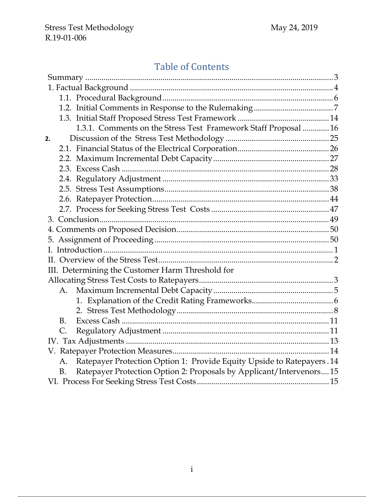# Table of Contents

|    | 1.3.1. Comments on the Stress Test Framework Staff Proposal  16              |  |
|----|------------------------------------------------------------------------------|--|
| 2. |                                                                              |  |
|    |                                                                              |  |
|    |                                                                              |  |
|    |                                                                              |  |
|    |                                                                              |  |
|    |                                                                              |  |
|    |                                                                              |  |
|    |                                                                              |  |
|    |                                                                              |  |
|    |                                                                              |  |
|    |                                                                              |  |
|    |                                                                              |  |
|    |                                                                              |  |
|    | III. Determining the Customer Harm Threshold for                             |  |
|    |                                                                              |  |
|    | А.                                                                           |  |
|    |                                                                              |  |
|    |                                                                              |  |
|    | <b>B.</b>                                                                    |  |
|    | C.                                                                           |  |
|    |                                                                              |  |
|    |                                                                              |  |
|    | Ratepayer Protection Option 1: Provide Equity Upside to Ratepayers. 14<br>А. |  |
|    | Ratepayer Protection Option 2: Proposals by Applicant/Intervenors15<br>B.    |  |
|    |                                                                              |  |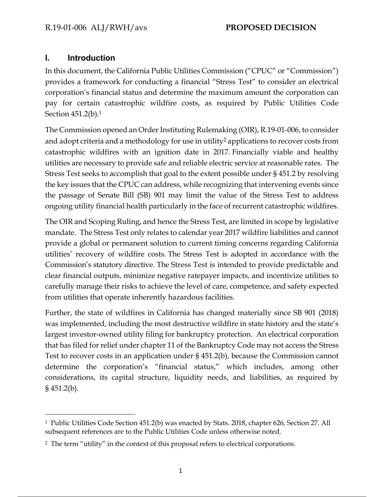## **I. Introduction**

In this document, the California Public Utilities Commission ("CPUC" or "Commission") provides a framework for conducting a financial "Stress Test" to consider an electrical corporation's financial status and determine the maximum amount the corporation can pay for certain catastrophic wildfire costs, as required by Public Utilities Code Section 451.2(b).1

The Commission opened an Order Instituting Rulemaking (OIR), R.19-01-006, to consider and adopt criteria and a methodology for use in utility<sup>2</sup> applications to recover costs from catastrophic wildfires with an ignition date in 2017. Financially viable and healthy utilities are necessary to provide safe and reliable electric service at reasonable rates. The Stress Test seeks to accomplish that goal to the extent possible under § 451.2 by resolving the key issues that the CPUC can address, while recognizing that intervening events since the passage of Senate Bill (SB) 901 may limit the value of the Stress Test to address ongoing utility financial health particularly in the face of recurrent catastrophic wildfires.

The OIR and Scoping Ruling, and hence the Stress Test, are limited in scope by legislative mandate. The Stress Test only relates to calendar year 2017 wildfire liabilities and cannot provide a global or permanent solution to current timing concerns regarding California utilities' recovery of wildfire costs. The Stress Test is adopted in accordance with the Commission's statutory directive. The Stress Test is intended to provide predictable and clear financial outputs, minimize negative ratepayer impacts, and incentivize utilities to carefully manage their risks to achieve the level of care, competence, and safety expected from utilities that operate inherently hazardous facilities.

Further, the state of wildfires in California has changed materially since SB 901 (2018) was implemented, including the most destructive wildfire in state history and the state's largest investor-owned utility filing for bankruptcy protection. An electrical corporation that has filed for relief under chapter 11 of the Bankruptcy Code may not access the Stress Test to recover costs in an application under § 451.2(b), because the Commission cannot determine the corporation's "financial status," which includes, among other considerations, its capital structure, liquidity needs, and liabilities, as required by § 451.2(b).

 $\overline{a}$ 1 Public Utilities Code Section 451.2(b) was enacted by Stats. 2018, chapter 626, Section 27. All subsequent references are to the Public Utilities Code unless otherwise noted.

<sup>2</sup> The term "utility" in the context of this proposal refers to electrical corporations.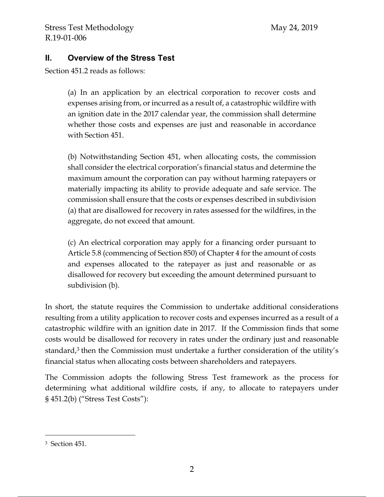## **II. Overview of the Stress Test**

Section 451.2 reads as follows:

(a) In an application by an electrical corporation to recover costs and expenses arising from, or incurred as a result of, a catastrophic wildfire with an ignition date in the 2017 calendar year, the commission shall determine whether those costs and expenses are just and reasonable in accordance with Section 451.

(b) Notwithstanding Section 451, when allocating costs, the commission shall consider the electrical corporation's financial status and determine the maximum amount the corporation can pay without harming ratepayers or materially impacting its ability to provide adequate and safe service. The commission shall ensure that the costs or expenses described in subdivision (a) that are disallowed for recovery in rates assessed for the wildfires, in the aggregate, do not exceed that amount.

(c) An electrical corporation may apply for a financing order pursuant to Article 5.8 (commencing of Section 850) of Chapter 4 for the amount of costs and expenses allocated to the ratepayer as just and reasonable or as disallowed for recovery but exceeding the amount determined pursuant to subdivision (b).

In short, the statute requires the Commission to undertake additional considerations resulting from a utility application to recover costs and expenses incurred as a result of a catastrophic wildfire with an ignition date in 2017. If the Commission finds that some costs would be disallowed for recovery in rates under the ordinary just and reasonable standard,<sup>3</sup> then the Commission must undertake a further consideration of the utility's financial status when allocating costs between shareholders and ratepayers.

The Commission adopts the following Stress Test framework as the process for determining what additional wildfire costs, if any, to allocate to ratepayers under § 451.2(b) ("Stress Test Costs"):

 $\overline{a}$ 

<sup>3</sup> Section 451.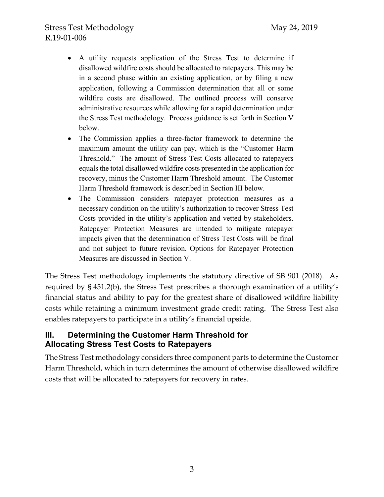- A utility requests application of the Stress Test to determine if disallowed wildfire costs should be allocated to ratepayers. This may be in a second phase within an existing application, or by filing a new application, following a Commission determination that all or some wildfire costs are disallowed. The outlined process will conserve administrative resources while allowing for a rapid determination under the Stress Test methodology. Process guidance is set forth in Section V below.
- The Commission applies a three-factor framework to determine the maximum amount the utility can pay, which is the "Customer Harm Threshold." The amount of Stress Test Costs allocated to ratepayers equals the total disallowed wildfire costs presented in the application for recovery, minus the Customer Harm Threshold amount. The Customer Harm Threshold framework is described in Section III below.
- The Commission considers ratepayer protection measures as a necessary condition on the utility's authorization to recover Stress Test Costs provided in the utility's application and vetted by stakeholders. Ratepayer Protection Measures are intended to mitigate ratepayer impacts given that the determination of Stress Test Costs will be final and not subject to future revision. Options for Ratepayer Protection Measures are discussed in Section V.

The Stress Test methodology implements the statutory directive of SB 901 (2018). As required by § 451.2(b), the Stress Test prescribes a thorough examination of a utility's financial status and ability to pay for the greatest share of disallowed wildfire liability costs while retaining a minimum investment grade credit rating. The Stress Test also enables ratepayers to participate in a utility's financial upside.

## **III. Determining the Customer Harm Threshold for Allocating Stress Test Costs to Ratepayers**

The Stress Test methodology considers three component parts to determine the Customer Harm Threshold, which in turn determines the amount of otherwise disallowed wildfire costs that will be allocated to ratepayers for recovery in rates.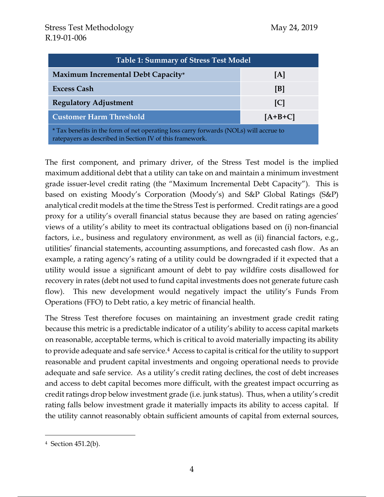| <b>Table 1: Summary of Stress Test Model</b>                                                                                                      |           |  |  |  |  |
|---------------------------------------------------------------------------------------------------------------------------------------------------|-----------|--|--|--|--|
| Maximum Incremental Debt Capacity*                                                                                                                | [A]       |  |  |  |  |
| <b>Excess Cash</b>                                                                                                                                | [B]       |  |  |  |  |
| <b>Regulatory Adjustment</b>                                                                                                                      | C         |  |  |  |  |
| <b>Customer Harm Threshold</b>                                                                                                                    | $[A+B+C]$ |  |  |  |  |
| * Tax benefits in the form of net operating loss carry forwards (NOLs) will accrue to<br>ratepayers as described in Section IV of this framework. |           |  |  |  |  |

The first component, and primary driver, of the Stress Test model is the implied maximum additional debt that a utility can take on and maintain a minimum investment grade issuer-level credit rating (the "Maximum Incremental Debt Capacity"). This is based on existing Moody's Corporation (Moody's) and S&P Global Ratings (S&P) analytical credit models at the time the Stress Test is performed. Credit ratings are a good proxy for a utility's overall financial status because they are based on rating agencies' views of a utility's ability to meet its contractual obligations based on (i) non-financial factors, i.e., business and regulatory environment, as well as (ii) financial factors, e.g., utilities' financial statements, accounting assumptions, and forecasted cash flow. As an example, a rating agency's rating of a utility could be downgraded if it expected that a utility would issue a significant amount of debt to pay wildfire costs disallowed for recovery in rates (debt not used to fund capital investments does not generate future cash flow). This new development would negatively impact the utility's Funds From Operations (FFO) to Debt ratio, a key metric of financial health.

The Stress Test therefore focuses on maintaining an investment grade credit rating because this metric is a predictable indicator of a utility's ability to access capital markets on reasonable, acceptable terms, which is critical to avoid materially impacting its ability to provide adequate and safe service.4 Access to capital is critical for the utility to support reasonable and prudent capital investments and ongoing operational needs to provide adequate and safe service. As a utility's credit rating declines, the cost of debt increases and access to debt capital becomes more difficult, with the greatest impact occurring as credit ratings drop below investment grade (i.e. junk status). Thus, when a utility's credit rating falls below investment grade it materially impacts its ability to access capital. If the utility cannot reasonably obtain sufficient amounts of capital from external sources,

 $\overline{a}$ 

<sup>4</sup> Section 451.2(b).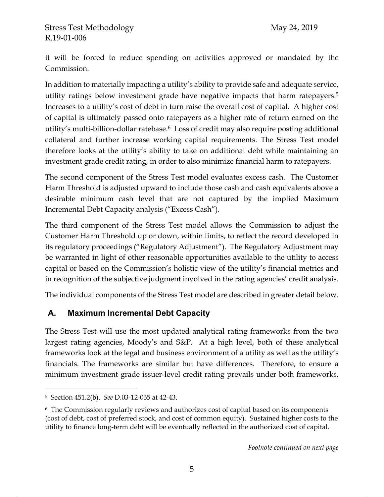it will be forced to reduce spending on activities approved or mandated by the Commission.

In addition to materially impacting a utility's ability to provide safe and adequate service, utility ratings below investment grade have negative impacts that harm ratepayers.5 Increases to a utility's cost of debt in turn raise the overall cost of capital. A higher cost of capital is ultimately passed onto ratepayers as a higher rate of return earned on the utility's multi-billion-dollar ratebase.6 Loss of credit may also require posting additional collateral and further increase working capital requirements. The Stress Test model therefore looks at the utility's ability to take on additional debt while maintaining an investment grade credit rating, in order to also minimize financial harm to ratepayers.

The second component of the Stress Test model evaluates excess cash. The Customer Harm Threshold is adjusted upward to include those cash and cash equivalents above a desirable minimum cash level that are not captured by the implied Maximum Incremental Debt Capacity analysis ("Excess Cash").

The third component of the Stress Test model allows the Commission to adjust the Customer Harm Threshold up or down, within limits, to reflect the record developed in its regulatory proceedings ("Regulatory Adjustment"). The Regulatory Adjustment may be warranted in light of other reasonable opportunities available to the utility to access capital or based on the Commission's holistic view of the utility's financial metrics and in recognition of the subjective judgment involved in the rating agencies' credit analysis.

The individual components of the Stress Test model are described in greater detail below.

## **A. Maximum Incremental Debt Capacity**

The Stress Test will use the most updated analytical rating frameworks from the two largest rating agencies, Moody's and S&P. At a high level, both of these analytical frameworks look at the legal and business environment of a utility as well as the utility's financials. The frameworks are similar but have differences. Therefore, to ensure a minimum investment grade issuer-level credit rating prevails under both frameworks,

 $\overline{a}$ 

<sup>5</sup> Section 451.2(b). *See* D.03-12-035 at 42-43.

<sup>6</sup> The Commission regularly reviews and authorizes cost of capital based on its components (cost of debt, cost of preferred stock, and cost of common equity). Sustained higher costs to the utility to finance long-term debt will be eventually reflected in the authorized cost of capital.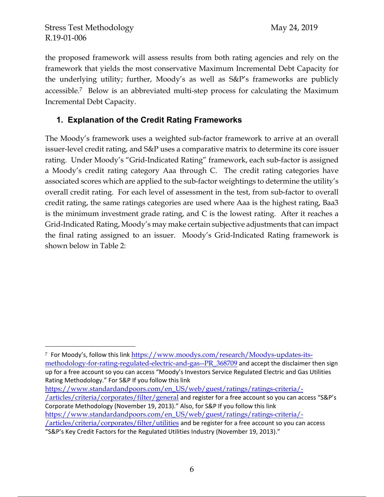$\overline{a}$ 

the proposed framework will assess results from both rating agencies and rely on the framework that yields the most conservative Maximum Incremental Debt Capacity for the underlying utility; further, Moody's as well as S&P's frameworks are publicly accessible.7 Below is an abbreviated multi-step process for calculating the Maximum Incremental Debt Capacity.

## **1. Explanation of the Credit Rating Frameworks**

The Moody's framework uses a weighted sub-factor framework to arrive at an overall issuer-level credit rating, and S&P uses a comparative matrix to determine its core issuer rating. Under Moody's "Grid-Indicated Rating" framework, each sub-factor is assigned a Moody's credit rating category Aaa through C. The credit rating categories have associated scores which are applied to the sub-factor weightings to determine the utility's overall credit rating. For each level of assessment in the test, from sub-factor to overall credit rating, the same ratings categories are used where Aaa is the highest rating, Baa3 is the minimum investment grade rating, and C is the lowest rating. After it reaches a Grid-Indicated Rating, Moody's may make certain subjective adjustments that can impact the final rating assigned to an issuer. Moody's Grid-Indicated Rating framework is shown below in Table 2:

https://www.standardandpoors.com/en\_US/web/guest/ratings/ratings-criteria/- /articles/criteria/corporates/filter/general and register for a free account so you can access "S&P's Corporate Methodology (November 19, 2013)." Also, for S&P If you follow this link https://www.standardandpoors.com/en\_US/web/guest/ratings/ratings-criteria/- /articles/criteria/corporates/filter/utilities and be register for a free account so you can access "S&P's Key Credit Factors for the Regulated Utilities Industry (November 19, 2013)."

<sup>&</sup>lt;sup>7</sup> For Moody's, follow this link https://www.moodys.com/research/Moodys-updates-itsmethodology-for-rating-regulated-electric-and-gas--PR\_368709 and accept the disclaimer then sign up for a free account so you can access "Moody's Investors Service Regulated Electric and Gas Utilities Rating Methodology." For S&P If you follow this link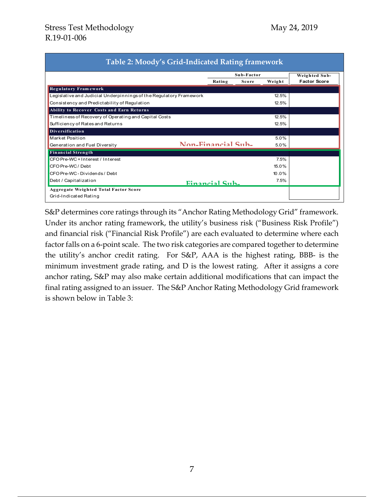|                                                                    |                    | Sub-Factor |         |                     |
|--------------------------------------------------------------------|--------------------|------------|---------|---------------------|
|                                                                    | Rating             | Score      | Weight  | <b>Factor Score</b> |
| <b>Regulatory Framework</b>                                        |                    |            |         |                     |
| Legislative and Judicial Underpinnings of the Regulatory Framework |                    |            | 12.5%   |                     |
| Consistency and Predictability of Regulation                       |                    |            | 12.5%   |                     |
| Ability to Recover Costs and Earn Returns                          |                    |            |         |                     |
| Timeliness of Recovery of Operating and Capital Costs              |                    |            | 12.5%   |                     |
| Sufficiency of Rates and Returns                                   |                    |            | 12.5%   |                     |
| <b>Diversification</b>                                             |                    |            |         |                     |
| Market Position                                                    |                    |            | 5.0%    |                     |
| Generation and Fuel Diversity                                      | Non-Financial Sub- |            | $5.0\%$ |                     |
| <b>Financial Strength</b>                                          |                    |            |         |                     |
| CFO Pre-WC + Interest / Interest                                   |                    |            | 7.5%    |                     |
| CFO Pre-WC/Debt                                                    |                    |            | 15.0%   |                     |
| CFO Pre-WC - Dividends / Debt                                      |                    |            | 10.0%   |                     |
| Debt / Capitalization                                              | Financial Suh-     |            | 7.5%    |                     |
| <b>Aggregate Weighted Total Factor Score</b>                       |                    |            |         |                     |

S&P determines core ratings through its "Anchor Rating Methodology Grid" framework. Under its anchor rating framework, the utility's business risk ("Business Risk Profile") and financial risk ("Financial Risk Profile") are each evaluated to determine where each factor falls on a 6-point scale. The two risk categories are compared together to determine the utility's anchor credit rating. For S&P, AAA is the highest rating, BBB- is the minimum investment grade rating, and D is the lowest rating. After it assigns a core anchor rating, S&P may also make certain additional modifications that can impact the final rating assigned to an issuer. The S&P Anchor Rating Methodology Grid framework is shown below in Table 3: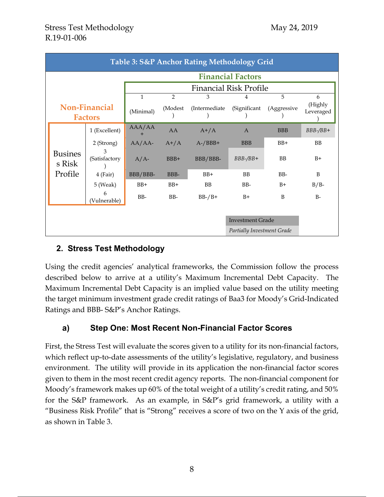| Table 3: S&P Anchor Rating Methodology Grid |                    |                               |                |                |                |                  |                      |
|---------------------------------------------|--------------------|-------------------------------|----------------|----------------|----------------|------------------|----------------------|
| <b>Financial Factors</b>                    |                    |                               |                |                |                |                  |                      |
|                                             |                    | <b>Financial Risk Profile</b> |                |                |                |                  |                      |
|                                             |                    | $\mathbf{1}$                  | $\overline{2}$ | 3              | 4              | 5                | 6                    |
| <b>Non-Financial</b><br><b>Factors</b>      |                    | (Minimal)                     | (Modest)       | (Intermediate) | (Significant   | (Aggressive      | (Highly<br>Leveraged |
|                                             | 1 (Excellent)      | AAA/AA                        | AA             | $A^+/A$        | $\mathbf{A}$   | <b>BBB</b>       | $BBB-$ / $BB+$       |
|                                             | 2 (Strong)         | $AA/AA$ -                     | $A^{+}/A$      | $A$ -/BBB+     | <b>BBB</b>     | $BB+$            | <b>BB</b>            |
| <b>Busines</b><br>s Risk                    | 3<br>(Satisfactory | $A/A$ -                       | BBB+           | BBB/BBB-       | $BBB-$ / $BB+$ | BB               | $B+$                 |
| Profile                                     | 4 (Fair)           | BBB/BBB-                      | BBB-           | $BB+$          | <b>BB</b>      | B <sub>B</sub> - | B                    |
|                                             | 5 (Weak)           | $BB+$                         | $BB+$          | <b>BB</b>      | BB-            | $B+$             | $B/B-$               |
|                                             | 6<br>(Vulnerable)  | BB-                           | BB-            | $BB-/B+$       | $B+$           | B                | $B -$                |
|                                             |                    |                               |                |                |                |                  |                      |
| <b>Investment Grade</b>                     |                    |                               |                |                |                |                  |                      |
| Partially Investment Grade                  |                    |                               |                |                |                |                  |                      |

## **2. Stress Test Methodology**

Using the credit agencies' analytical frameworks, the Commission follow the process described below to arrive at a utility's Maximum Incremental Debt Capacity. The Maximum Incremental Debt Capacity is an implied value based on the utility meeting the target minimum investment grade credit ratings of Baa3 for Moody's Grid-Indicated Ratings and BBB- S&P's Anchor Ratings.

## **a) Step One: Most Recent Non-Financial Factor Scores**

First, the Stress Test will evaluate the scores given to a utility for its non-financial factors, which reflect up-to-date assessments of the utility's legislative, regulatory, and business environment. The utility will provide in its application the non-financial factor scores given to them in the most recent credit agency reports. The non-financial component for Moody's framework makes up 60% of the total weight of a utility's credit rating, and 50% for the S&P framework. As an example, in S&P's grid framework, a utility with a "Business Risk Profile" that is "Strong" receives a score of two on the Y axis of the grid, as shown in Table 3.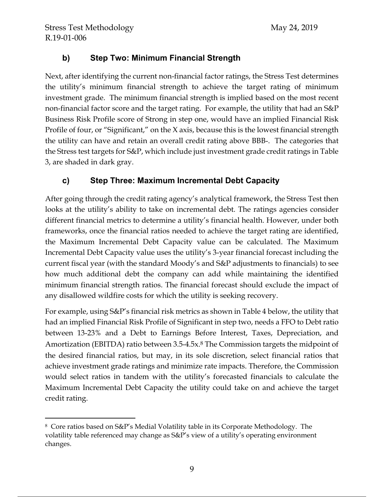## **b) Step Two: Minimum Financial Strength**

Next, after identifying the current non-financial factor ratings, the Stress Test determines the utility's minimum financial strength to achieve the target rating of minimum investment grade. The minimum financial strength is implied based on the most recent non-financial factor score and the target rating. For example, the utility that had an S&P Business Risk Profile score of Strong in step one, would have an implied Financial Risk Profile of four, or "Significant," on the X axis, because this is the lowest financial strength the utility can have and retain an overall credit rating above BBB-. The categories that the Stress test targets for S&P, which include just investment grade credit ratings in Table 3, are shaded in dark gray.

## **c) Step Three: Maximum Incremental Debt Capacity**

After going through the credit rating agency's analytical framework, the Stress Test then looks at the utility's ability to take on incremental debt. The ratings agencies consider different financial metrics to determine a utility's financial health. However, under both frameworks, once the financial ratios needed to achieve the target rating are identified, the Maximum Incremental Debt Capacity value can be calculated. The Maximum Incremental Debt Capacity value uses the utility's 3-year financial forecast including the current fiscal year (with the standard Moody's and S&P adjustments to financials) to see how much additional debt the company can add while maintaining the identified minimum financial strength ratios. The financial forecast should exclude the impact of any disallowed wildfire costs for which the utility is seeking recovery.

For example, using S&P's financial risk metrics as shown in Table 4 below, the utility that had an implied Financial Risk Profile of Significant in step two, needs a FFO to Debt ratio between 13-23% and a Debt to Earnings Before Interest, Taxes, Depreciation, and Amortization (EBITDA) ratio between 3.5-4.5x.8 The Commission targets the midpoint of the desired financial ratios, but may, in its sole discretion, select financial ratios that achieve investment grade ratings and minimize rate impacts. Therefore, the Commission would select ratios in tandem with the utility's forecasted financials to calculate the Maximum Incremental Debt Capacity the utility could take on and achieve the target credit rating.

 $\overline{a}$ 8 Core ratios based on S&P's Medial Volatility table in its Corporate Methodology. The volatility table referenced may change as S&P's view of a utility's operating environment changes.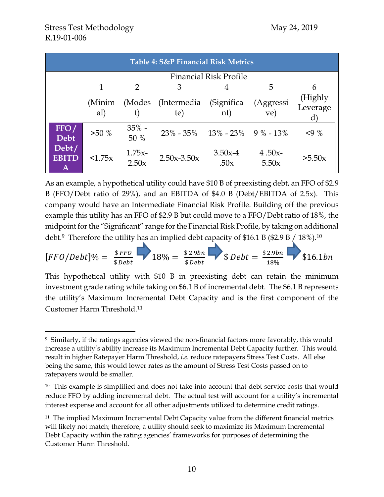$\overline{a}$ 

| Table 4: S&P Financial Risk Metrics |                               |                   |                     |                                  |                    |                                     |  |
|-------------------------------------|-------------------------------|-------------------|---------------------|----------------------------------|--------------------|-------------------------------------|--|
|                                     | <b>Financial Risk Profile</b> |                   |                     |                                  |                    |                                     |  |
|                                     | 1                             | $\mathcal{D}$     | 3                   | 4                                | 5                  | 6                                   |  |
|                                     | (Minim<br>al)                 | (Modes)           | (Intermedia)<br>te) | (Significa)<br>nt)               | (Aggressi<br>ve)   | (Highly<br>Leverage<br>$\mathbf{d}$ |  |
| FFO/<br><b>Debt</b>                 | $>50\%$                       | $35\%$ -<br>50 %  |                     | $23\% - 35\%$ 13% - 23% 9% - 13% |                    | 49%                                 |  |
| Debt/<br><b>EBITD</b><br>A          | <1.75x                        | $1.75x-$<br>2.50x | $2.50x - 3.50x$     | $3.50x-4$<br>.50x                | $4.50x -$<br>5.50x | >5.50x                              |  |

As an example, a hypothetical utility could have \$10 B of preexisting debt, an FFO of \$2.9 B (FFO/Debt ratio of 29%), and an EBITDA of \$4.0 B (Debt/EBITDA of 2.5x). This company would have an Intermediate Financial Risk Profile. Building off the previous example this utility has an FFO of \$2.9 B but could move to a FFO/Debt ratio of 18%, the midpoint for the "Significant" range for the Financial Risk Profile, by taking on additional debt.<sup>9</sup> Therefore the utility has an implied debt capacity of \$16.1 B (\$2.9 B / 18%).<sup>10</sup>

$$
[FFO/Debt]\% = \frac{$FFO}{$Debt} \longrightarrow 18\% = \frac{$2.9bn}{$Debt} \longrightarrow $Debt = \frac{$2.9bn}{18\%} \longrightarrow $16.1bn
$$

This hypothetical utility with \$10 B in preexisting debt can retain the minimum investment grade rating while taking on \$6.1 B of incremental debt. The \$6.1 B represents the utility's Maximum Incremental Debt Capacity and is the first component of the Customer Harm Threshold.11

<sup>9</sup> Similarly, if the ratings agencies viewed the non-financial factors more favorably, this would increase a utility's ability increase its Maximum Incremental Debt Capacity further. This would result in higher Ratepayer Harm Threshold, *i.e.* reduce ratepayers Stress Test Costs. All else being the same, this would lower rates as the amount of Stress Test Costs passed on to ratepayers would be smaller.

<sup>&</sup>lt;sup>10</sup> This example is simplified and does not take into account that debt service costs that would reduce FFO by adding incremental debt. The actual test will account for a utility's incremental interest expense and account for all other adjustments utilized to determine credit ratings.

<sup>&</sup>lt;sup>11</sup> The implied Maximum Incremental Debt Capacity value from the different financial metrics will likely not match; therefore, a utility should seek to maximize its Maximum Incremental Debt Capacity within the rating agencies' frameworks for purposes of determining the Customer Harm Threshold.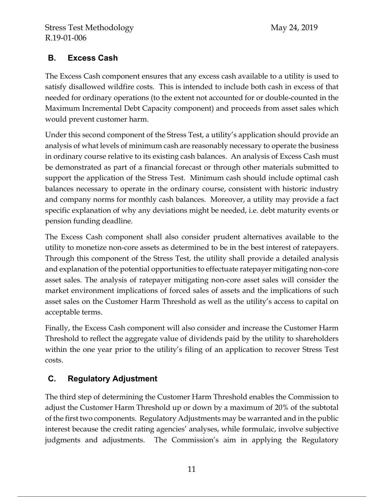## **B. Excess Cash**

The Excess Cash component ensures that any excess cash available to a utility is used to satisfy disallowed wildfire costs. This is intended to include both cash in excess of that needed for ordinary operations (to the extent not accounted for or double-counted in the Maximum Incremental Debt Capacity component) and proceeds from asset sales which would prevent customer harm.

Under this second component of the Stress Test, a utility's application should provide an analysis of what levels of minimum cash are reasonably necessary to operate the business in ordinary course relative to its existing cash balances. An analysis of Excess Cash must be demonstrated as part of a financial forecast or through other materials submitted to support the application of the Stress Test. Minimum cash should include optimal cash balances necessary to operate in the ordinary course, consistent with historic industry and company norms for monthly cash balances. Moreover, a utility may provide a fact specific explanation of why any deviations might be needed, i.e. debt maturity events or pension funding deadline.

The Excess Cash component shall also consider prudent alternatives available to the utility to monetize non-core assets as determined to be in the best interest of ratepayers. Through this component of the Stress Test, the utility shall provide a detailed analysis and explanation of the potential opportunities to effectuate ratepayer mitigating non-core asset sales. The analysis of ratepayer mitigating non-core asset sales will consider the market environment implications of forced sales of assets and the implications of such asset sales on the Customer Harm Threshold as well as the utility's access to capital on acceptable terms.

Finally, the Excess Cash component will also consider and increase the Customer Harm Threshold to reflect the aggregate value of dividends paid by the utility to shareholders within the one year prior to the utility's filing of an application to recover Stress Test costs.

# **C. Regulatory Adjustment**

The third step of determining the Customer Harm Threshold enables the Commission to adjust the Customer Harm Threshold up or down by a maximum of 20% of the subtotal of the first two components. Regulatory Adjustments may be warranted and in the public interest because the credit rating agencies' analyses, while formulaic, involve subjective judgments and adjustments. The Commission's aim in applying the Regulatory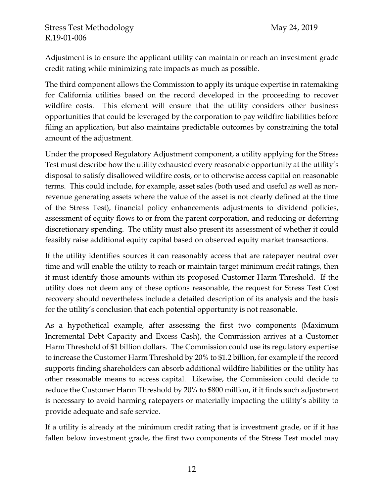Adjustment is to ensure the applicant utility can maintain or reach an investment grade credit rating while minimizing rate impacts as much as possible.

The third component allows the Commission to apply its unique expertise in ratemaking for California utilities based on the record developed in the proceeding to recover wildfire costs. This element will ensure that the utility considers other business opportunities that could be leveraged by the corporation to pay wildfire liabilities before filing an application, but also maintains predictable outcomes by constraining the total amount of the adjustment.

Under the proposed Regulatory Adjustment component, a utility applying for the Stress Test must describe how the utility exhausted every reasonable opportunity at the utility's disposal to satisfy disallowed wildfire costs, or to otherwise access capital on reasonable terms. This could include, for example, asset sales (both used and useful as well as nonrevenue generating assets where the value of the asset is not clearly defined at the time of the Stress Test), financial policy enhancements adjustments to dividend policies, assessment of equity flows to or from the parent corporation, and reducing or deferring discretionary spending. The utility must also present its assessment of whether it could feasibly raise additional equity capital based on observed equity market transactions.

If the utility identifies sources it can reasonably access that are ratepayer neutral over time and will enable the utility to reach or maintain target minimum credit ratings, then it must identify those amounts within its proposed Customer Harm Threshold. If the utility does not deem any of these options reasonable, the request for Stress Test Cost recovery should nevertheless include a detailed description of its analysis and the basis for the utility's conclusion that each potential opportunity is not reasonable.

As a hypothetical example, after assessing the first two components (Maximum Incremental Debt Capacity and Excess Cash), the Commission arrives at a Customer Harm Threshold of \$1 billion dollars. The Commission could use its regulatory expertise to increase the Customer Harm Threshold by 20% to \$1.2 billion, for example if the record supports finding shareholders can absorb additional wildfire liabilities or the utility has other reasonable means to access capital. Likewise, the Commission could decide to reduce the Customer Harm Threshold by 20% to \$800 million, if it finds such adjustment is necessary to avoid harming ratepayers or materially impacting the utility's ability to provide adequate and safe service.

If a utility is already at the minimum credit rating that is investment grade, or if it has fallen below investment grade, the first two components of the Stress Test model may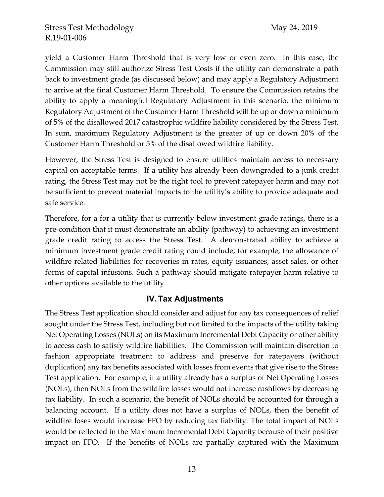yield a Customer Harm Threshold that is very low or even zero. In this case, the Commission may still authorize Stress Test Costs if the utility can demonstrate a path back to investment grade (as discussed below) and may apply a Regulatory Adjustment to arrive at the final Customer Harm Threshold. To ensure the Commission retains the ability to apply a meaningful Regulatory Adjustment in this scenario, the minimum Regulatory Adjustment of the Customer Harm Threshold will be up or down a minimum of 5% of the disallowed 2017 catastrophic wildfire liability considered by the Stress Test. In sum, maximum Regulatory Adjustment is the greater of up or down 20% of the Customer Harm Threshold or 5% of the disallowed wildfire liability.

However, the Stress Test is designed to ensure utilities maintain access to necessary capital on acceptable terms. If a utility has already been downgraded to a junk credit rating, the Stress Test may not be the right tool to prevent ratepayer harm and may not be sufficient to prevent material impacts to the utility's ability to provide adequate and safe service.

Therefore, for a for a utility that is currently below investment grade ratings, there is a pre-condition that it must demonstrate an ability (pathway) to achieving an investment grade credit rating to access the Stress Test. A demonstrated ability to achieve a minimum investment grade credit rating could include, for example, the allowance of wildfire related liabilities for recoveries in rates, equity issuances, asset sales, or other forms of capital infusions. Such a pathway should mitigate ratepayer harm relative to other options available to the utility.

## **IV. Tax Adjustments**

The Stress Test application should consider and adjust for any tax consequences of relief sought under the Stress Test, including but not limited to the impacts of the utility taking Net Operating Losses (NOLs) on its Maximum Incremental Debt Capacity or other ability to access cash to satisfy wildfire liabilities. The Commission will maintain discretion to fashion appropriate treatment to address and preserve for ratepayers (without duplication) any tax benefits associated with losses from events that give rise to the Stress Test application. For example, if a utility already has a surplus of Net Operating Losses (NOLs), then NOLs from the wildfire losses would not increase cashflows by decreasing tax liability. In such a scenario, the benefit of NOLs should be accounted for through a balancing account. If a utility does not have a surplus of NOLs, then the benefit of wildfire loses would increase FFO by reducing tax liability. The total impact of NOLs would be reflected in the Maximum Incremental Debt Capacity because of their positive impact on FFO. If the benefits of NOLs are partially captured with the Maximum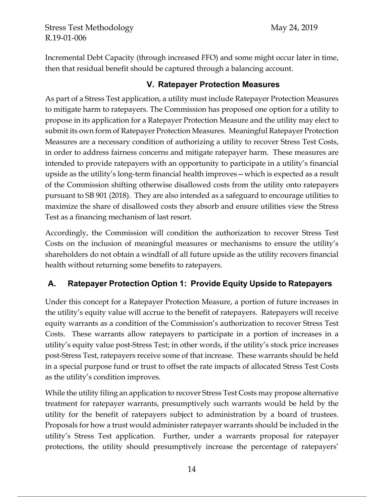Incremental Debt Capacity (through increased FFO) and some might occur later in time, then that residual benefit should be captured through a balancing account.

## **V. Ratepayer Protection Measures**

As part of a Stress Test application, a utility must include Ratepayer Protection Measures to mitigate harm to ratepayers. The Commission has proposed one option for a utility to propose in its application for a Ratepayer Protection Measure and the utility may elect to submit its own form of Ratepayer Protection Measures. Meaningful Ratepayer Protection Measures are a necessary condition of authorizing a utility to recover Stress Test Costs, in order to address fairness concerns and mitigate ratepayer harm. These measures are intended to provide ratepayers with an opportunity to participate in a utility's financial upside as the utility's long-term financial health improves—which is expected as a result of the Commission shifting otherwise disallowed costs from the utility onto ratepayers pursuant to SB 901 (2018). They are also intended as a safeguard to encourage utilities to maximize the share of disallowed costs they absorb and ensure utilities view the Stress Test as a financing mechanism of last resort.

Accordingly, the Commission will condition the authorization to recover Stress Test Costs on the inclusion of meaningful measures or mechanisms to ensure the utility's shareholders do not obtain a windfall of all future upside as the utility recovers financial health without returning some benefits to ratepayers.

# **A. Ratepayer Protection Option 1: Provide Equity Upside to Ratepayers**

Under this concept for a Ratepayer Protection Measure, a portion of future increases in the utility's equity value will accrue to the benefit of ratepayers. Ratepayers will receive equity warrants as a condition of the Commission's authorization to recover Stress Test Costs. These warrants allow ratepayers to participate in a portion of increases in a utility's equity value post-Stress Test; in other words, if the utility's stock price increases post-Stress Test, ratepayers receive some of that increase. These warrants should be held in a special purpose fund or trust to offset the rate impacts of allocated Stress Test Costs as the utility's condition improves.

While the utility filing an application to recover Stress Test Costs may propose alternative treatment for ratepayer warrants, presumptively such warrants would be held by the utility for the benefit of ratepayers subject to administration by a board of trustees. Proposals for how a trust would administer ratepayer warrants should be included in the utility's Stress Test application. Further, under a warrants proposal for ratepayer protections, the utility should presumptively increase the percentage of ratepayers'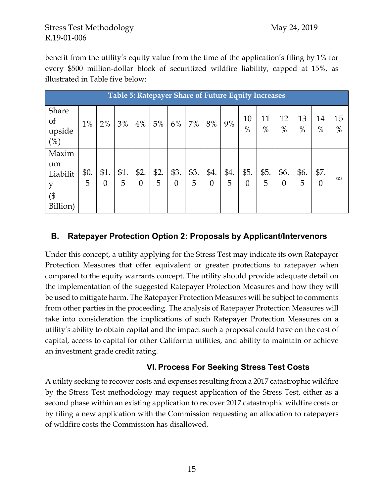benefit from the utility's equity value from the time of the application's filing by 1% for every \$500 million-dollar block of securitized wildfire liability, capped at 15%, as illustrated in Table five below:

| <b>Table 5: Ratepayer Share of Future Equity Increases</b> |           |                  |           |                        |           |                  |           |                        |           |                  |            |                        |            |                  |            |
|------------------------------------------------------------|-----------|------------------|-----------|------------------------|-----------|------------------|-----------|------------------------|-----------|------------------|------------|------------------------|------------|------------------|------------|
| Share<br>of<br>upside<br>(%)                               | $1\%$     | 2%               | 3%        | 4%                     | 5%        | 6%               | 7%        | 8%                     | 9%        | 10<br>$\%$       | 11<br>$\%$ | 12<br>$\%$             | 13<br>$\%$ | 14<br>$\%$       | 15<br>$\%$ |
| Maxim<br>um<br>Liabilit<br>(\$<br>Billion)                 | \$0.<br>5 | \$1.<br>$\theta$ | \$1.<br>5 | \$2.<br>$\overline{0}$ | \$2.<br>5 | \$3.<br>$\theta$ | \$3.<br>5 | \$4.<br>$\overline{0}$ | \$4.<br>5 | \$5.<br>$\theta$ | \$5.<br>5  | \$6.<br>$\overline{0}$ | \$6.<br>5  | \$7.<br>$\theta$ | $\infty$   |

## **B. Ratepayer Protection Option 2: Proposals by Applicant/Intervenors**

Under this concept, a utility applying for the Stress Test may indicate its own Ratepayer Protection Measures that offer equivalent or greater protections to ratepayer when compared to the equity warrants concept. The utility should provide adequate detail on the implementation of the suggested Ratepayer Protection Measures and how they will be used to mitigate harm. The Ratepayer Protection Measures will be subject to comments from other parties in the proceeding. The analysis of Ratepayer Protection Measures will take into consideration the implications of such Ratepayer Protection Measures on a utility's ability to obtain capital and the impact such a proposal could have on the cost of capital, access to capital for other California utilities, and ability to maintain or achieve an investment grade credit rating.

## **VI. Process For Seeking Stress Test Costs**

A utility seeking to recover costs and expenses resulting from a 2017 catastrophic wildfire by the Stress Test methodology may request application of the Stress Test, either as a second phase within an existing application to recover 2017 catastrophic wildfire costs or by filing a new application with the Commission requesting an allocation to ratepayers of wildfire costs the Commission has disallowed.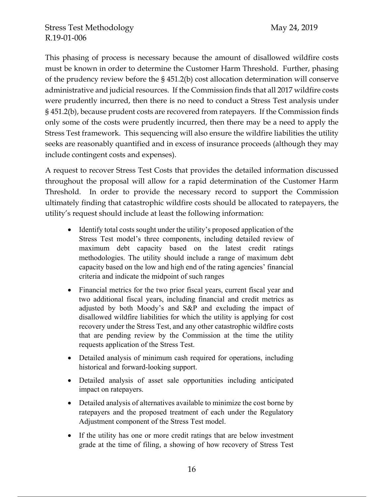This phasing of process is necessary because the amount of disallowed wildfire costs must be known in order to determine the Customer Harm Threshold. Further, phasing of the prudency review before the § 451.2(b) cost allocation determination will conserve administrative and judicial resources. If the Commission finds that all 2017 wildfire costs were prudently incurred, then there is no need to conduct a Stress Test analysis under § 451.2(b), because prudent costs are recovered from ratepayers. If the Commission finds only some of the costs were prudently incurred, then there may be a need to apply the Stress Test framework. This sequencing will also ensure the wildfire liabilities the utility seeks are reasonably quantified and in excess of insurance proceeds (although they may include contingent costs and expenses).

A request to recover Stress Test Costs that provides the detailed information discussed throughout the proposal will allow for a rapid determination of the Customer Harm Threshold. In order to provide the necessary record to support the Commission ultimately finding that catastrophic wildfire costs should be allocated to ratepayers, the utility's request should include at least the following information:

- Identify total costs sought under the utility's proposed application of the Stress Test model's three components, including detailed review of maximum debt capacity based on the latest credit ratings methodologies. The utility should include a range of maximum debt capacity based on the low and high end of the rating agencies' financial criteria and indicate the midpoint of such ranges
- Financial metrics for the two prior fiscal years, current fiscal year and two additional fiscal years, including financial and credit metrics as adjusted by both Moody's and S&P and excluding the impact of disallowed wildfire liabilities for which the utility is applying for cost recovery under the Stress Test, and any other catastrophic wildfire costs that are pending review by the Commission at the time the utility requests application of the Stress Test.
- Detailed analysis of minimum cash required for operations, including historical and forward-looking support.
- Detailed analysis of asset sale opportunities including anticipated impact on ratepayers.
- Detailed analysis of alternatives available to minimize the cost borne by ratepayers and the proposed treatment of each under the Regulatory Adjustment component of the Stress Test model.
- If the utility has one or more credit ratings that are below investment grade at the time of filing, a showing of how recovery of Stress Test